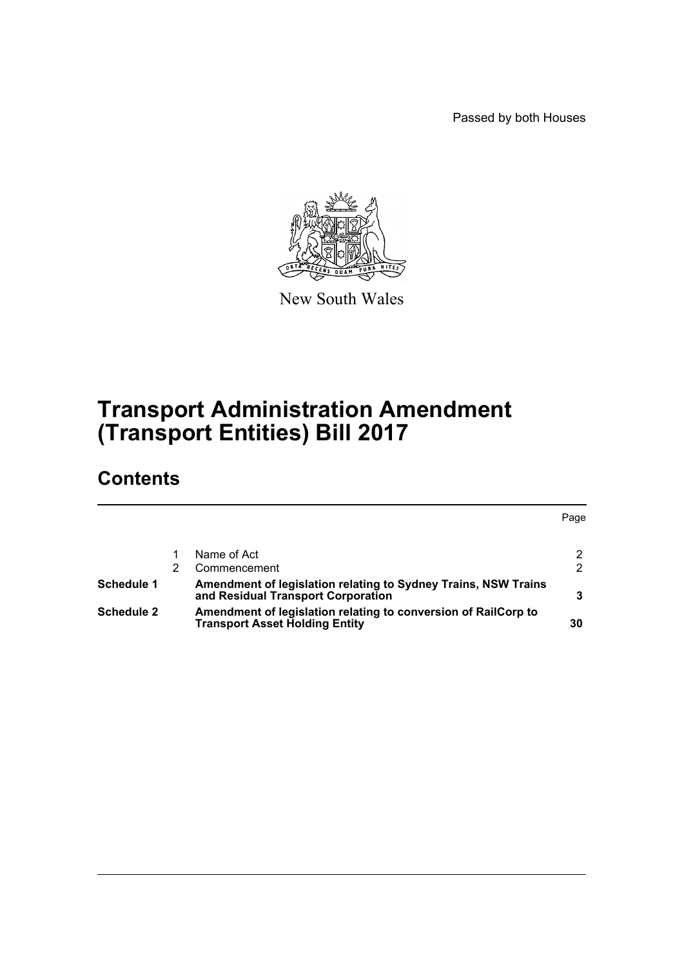Passed by both Houses



New South Wales

# **Transport Administration Amendment (Transport Entities) Bill 2017**

# **Contents**

|                   |                                                                                                         | Page |
|-------------------|---------------------------------------------------------------------------------------------------------|------|
|                   |                                                                                                         |      |
|                   | Name of Act                                                                                             | 2    |
|                   | Commencement                                                                                            | 2    |
| Schedule 1        | Amendment of legislation relating to Sydney Trains, NSW Trains<br>and Residual Transport Corporation    |      |
| <b>Schedule 2</b> | Amendment of legislation relating to conversion of RailCorp to<br><b>Transport Asset Holding Entity</b> | 30   |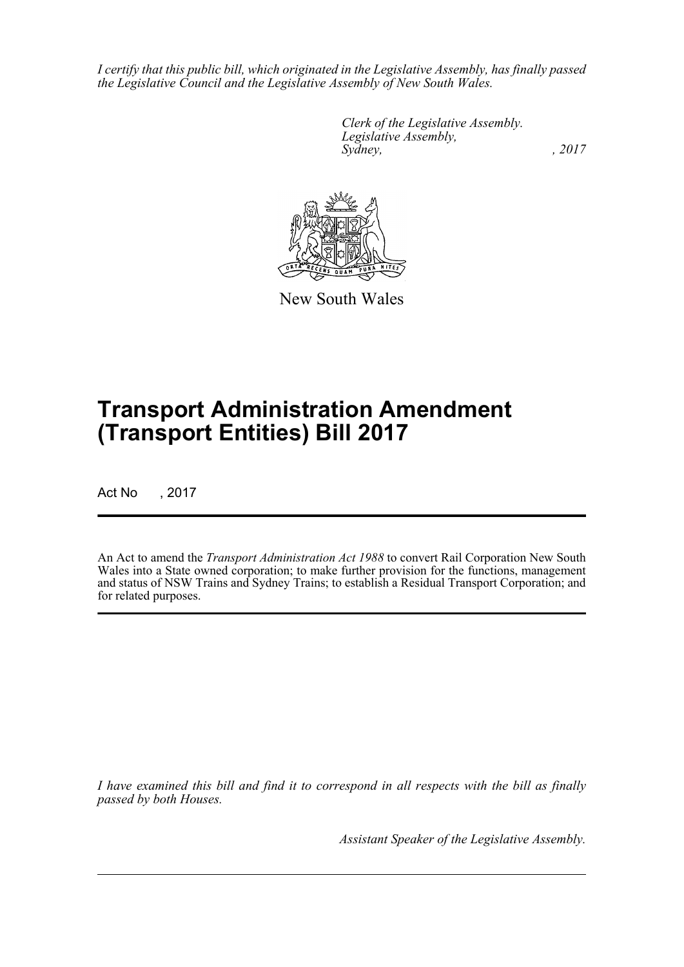*I certify that this public bill, which originated in the Legislative Assembly, has finally passed the Legislative Council and the Legislative Assembly of New South Wales.*

> *Clerk of the Legislative Assembly. Legislative Assembly, Sydney,* , 2017



New South Wales

# **Transport Administration Amendment (Transport Entities) Bill 2017**

Act No , 2017

An Act to amend the *Transport Administration Act 1988* to convert Rail Corporation New South Wales into a State owned corporation; to make further provision for the functions, management and status of NSW Trains and Sydney Trains; to establish a Residual Transport Corporation; and for related purposes.

*I have examined this bill and find it to correspond in all respects with the bill as finally passed by both Houses.*

*Assistant Speaker of the Legislative Assembly.*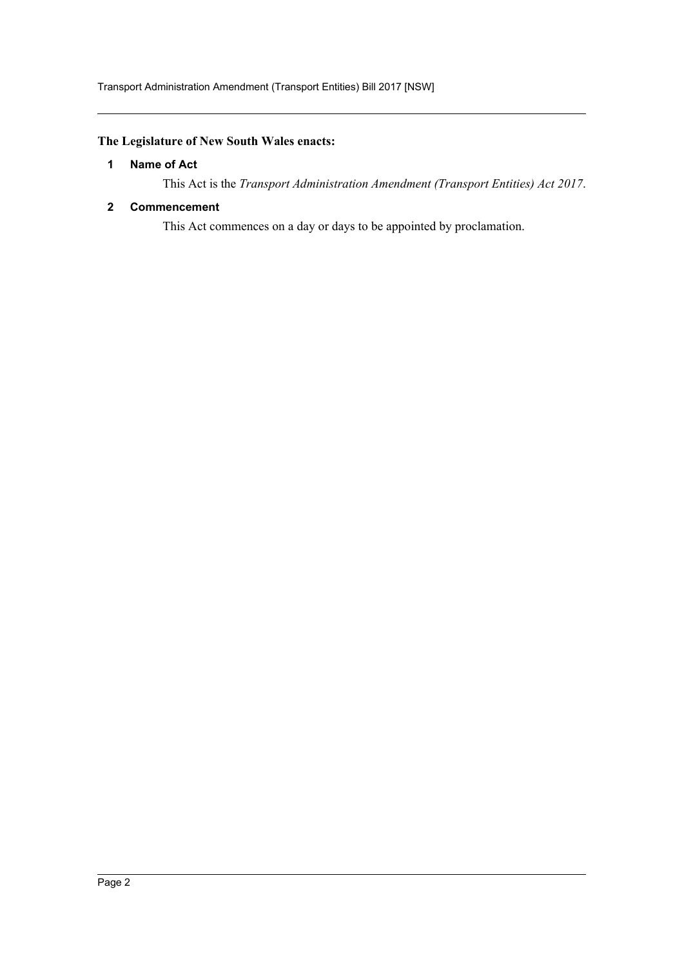## <span id="page-2-0"></span>**The Legislature of New South Wales enacts:**

## **1 Name of Act**

This Act is the *Transport Administration Amendment (Transport Entities) Act 2017*.

## <span id="page-2-1"></span>**2 Commencement**

This Act commences on a day or days to be appointed by proclamation.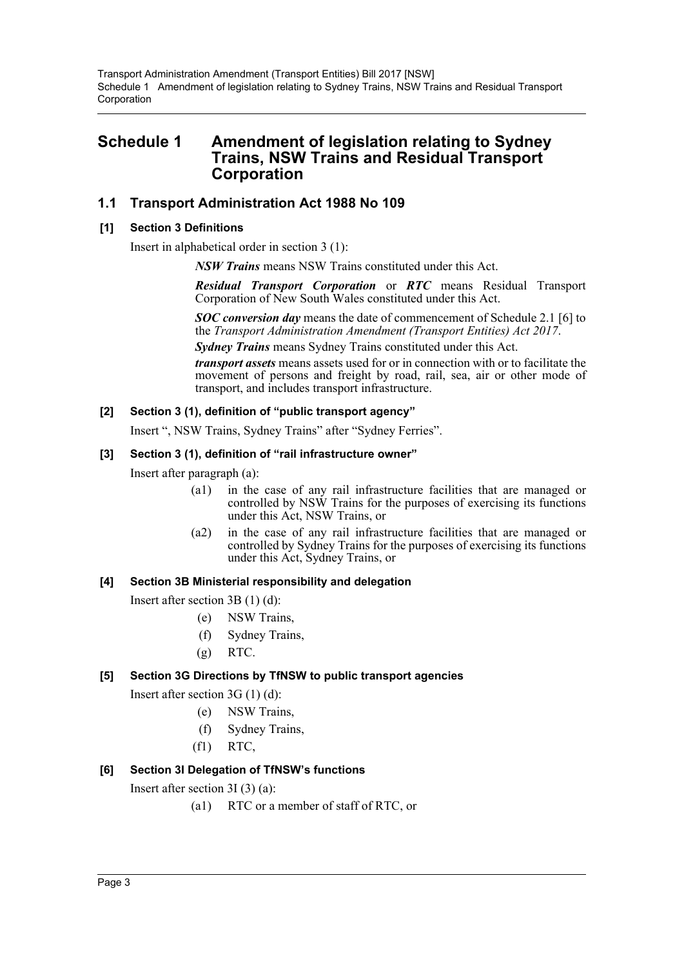## <span id="page-3-0"></span>**Schedule 1 Amendment of legislation relating to Sydney Trains, NSW Trains and Residual Transport Corporation**

## **1.1 Transport Administration Act 1988 No 109**

## **[1] Section 3 Definitions**

Insert in alphabetical order in section 3 (1):

*NSW Trains* means NSW Trains constituted under this Act.

*Residual Transport Corporation* or *RTC* means Residual Transport Corporation of New South Wales constituted under this Act.

*SOC conversion day* means the date of commencement of Schedule 2.1 [6] to the *Transport Administration Amendment (Transport Entities) Act 2017*.

*Sydney Trains* means Sydney Trains constituted under this Act.

*transport assets* means assets used for or in connection with or to facilitate the movement of persons and freight by road, rail, sea, air or other mode of transport, and includes transport infrastructure.

## **[2] Section 3 (1), definition of "public transport agency"**

Insert ", NSW Trains, Sydney Trains" after "Sydney Ferries".

## **[3] Section 3 (1), definition of "rail infrastructure owner"**

Insert after paragraph (a):

- (a1) in the case of any rail infrastructure facilities that are managed or controlled by NSW Trains for the purposes of exercising its functions under this Act, NSW Trains, or
- (a2) in the case of any rail infrastructure facilities that are managed or controlled by Sydney Trains for the purposes of exercising its functions under this Act, Sydney Trains, or

## **[4] Section 3B Ministerial responsibility and delegation**

Insert after section 3B (1) (d):

- (e) NSW Trains,
- (f) Sydney Trains,
- $(g)$  RTC.

## **[5] Section 3G Directions by TfNSW to public transport agencies**

Insert after section 3G (1) (d):

- (e) NSW Trains,
- (f) Sydney Trains,
- (f1) RTC,

## **[6] Section 3I Delegation of TfNSW's functions**

Insert after section 3I (3) (a):

(a1) RTC or a member of staff of RTC, or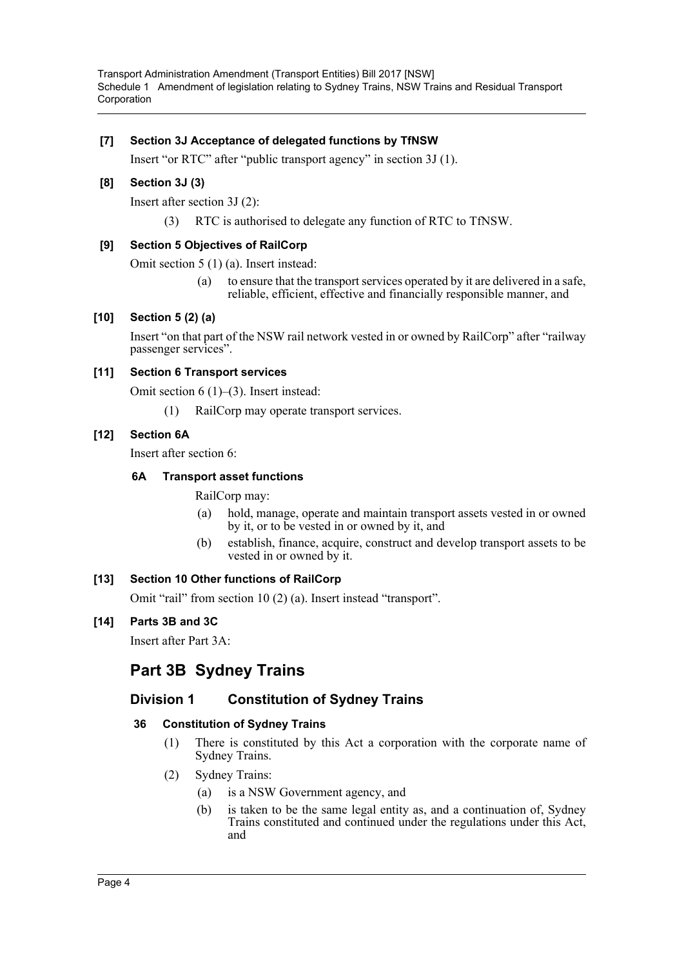## **[7] Section 3J Acceptance of delegated functions by TfNSW**

Insert "or RTC" after "public transport agency" in section 3J (1).

## **[8] Section 3J (3)**

Insert after section 3J (2):

(3) RTC is authorised to delegate any function of RTC to TfNSW.

## **[9] Section 5 Objectives of RailCorp**

Omit section 5 (1) (a). Insert instead:

(a) to ensure that the transport services operated by it are delivered in a safe, reliable, efficient, effective and financially responsible manner, and

## **[10] Section 5 (2) (a)**

Insert "on that part of the NSW rail network vested in or owned by RailCorp" after "railway passenger services".

## **[11] Section 6 Transport services**

Omit section 6 (1)–(3). Insert instead:

(1) RailCorp may operate transport services.

## **[12] Section 6A**

Insert after section 6:

### **6A Transport asset functions**

RailCorp may:

- (a) hold, manage, operate and maintain transport assets vested in or owned by it, or to be vested in or owned by it, and
- (b) establish, finance, acquire, construct and develop transport assets to be vested in or owned by it.

## **[13] Section 10 Other functions of RailCorp**

Omit "rail" from section 10 (2) (a). Insert instead "transport".

### **[14] Parts 3B and 3C**

Insert after Part 3A:

## **Part 3B Sydney Trains**

## **Division 1 Constitution of Sydney Trains**

### **36 Constitution of Sydney Trains**

- (1) There is constituted by this Act a corporation with the corporate name of Sydney Trains.
- (2) Sydney Trains:
	- (a) is a NSW Government agency, and
	- (b) is taken to be the same legal entity as, and a continuation of, Sydney Trains constituted and continued under the regulations under this Act, and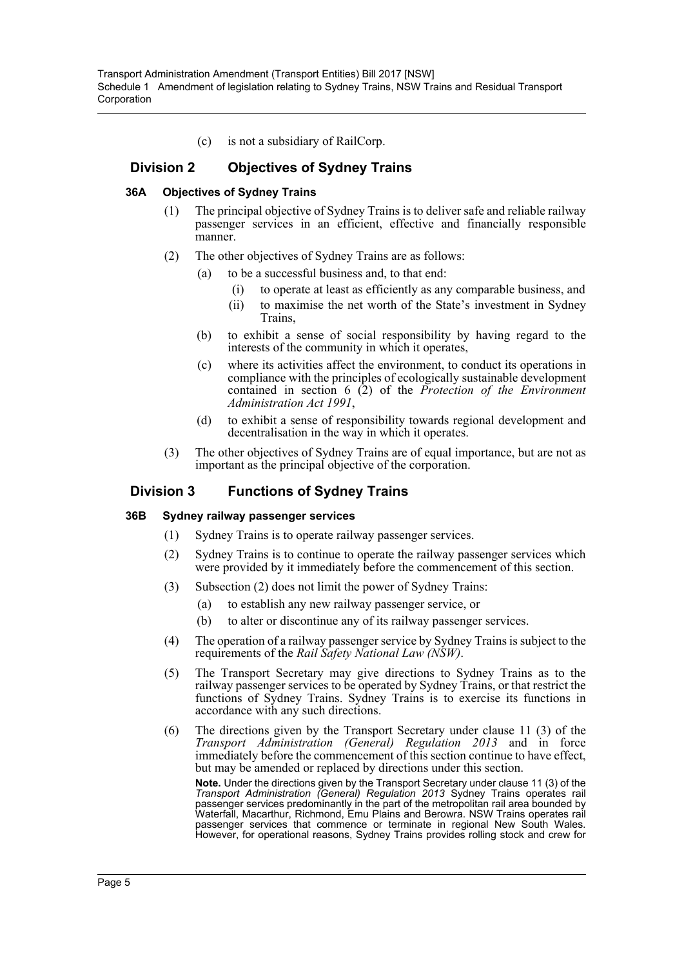(c) is not a subsidiary of RailCorp.

## **Division 2 Objectives of Sydney Trains**

### **36A Objectives of Sydney Trains**

- (1) The principal objective of Sydney Trains is to deliver safe and reliable railway passenger services in an efficient, effective and financially responsible manner.
- (2) The other objectives of Sydney Trains are as follows:
	- (a) to be a successful business and, to that end:
		- (i) to operate at least as efficiently as any comparable business, and
		- (ii) to maximise the net worth of the State's investment in Sydney Trains,
	- (b) to exhibit a sense of social responsibility by having regard to the interests of the community in which it operates,
	- (c) where its activities affect the environment, to conduct its operations in compliance with the principles of ecologically sustainable development contained in section 6 (2) of the *Protection of the Environment Administration Act 1991*,
	- (d) to exhibit a sense of responsibility towards regional development and decentralisation in the way in which it operates.
- (3) The other objectives of Sydney Trains are of equal importance, but are not as important as the principal objective of the corporation.

## **Division 3 Functions of Sydney Trains**

#### **36B Sydney railway passenger services**

- (1) Sydney Trains is to operate railway passenger services.
- (2) Sydney Trains is to continue to operate the railway passenger services which were provided by it immediately before the commencement of this section.
- (3) Subsection (2) does not limit the power of Sydney Trains:
	- (a) to establish any new railway passenger service, or
	- (b) to alter or discontinue any of its railway passenger services.
- (4) The operation of a railway passenger service by Sydney Trains is subject to the requirements of the *Rail Safety National Law (NSW)*.
- (5) The Transport Secretary may give directions to Sydney Trains as to the railway passenger services to be operated by Sydney Trains, or that restrict the functions of Sydney Trains. Sydney Trains is to exercise its functions in accordance with any such directions.
- (6) The directions given by the Transport Secretary under clause 11 (3) of the *Transport Administration (General) Regulation 2013* and in force immediately before the commencement of this section continue to have effect, but may be amended or replaced by directions under this section.

**Note.** Under the directions given by the Transport Secretary under clause 11 (3) of the *Transport Administration (General) Regulation 2013* Sydney Trains operates rail passenger services predominantly in the part of the metropolitan rail area bounded by Waterfall, Macarthur, Richmond, Emu Plains and Berowra. NSW Trains operates rail passenger services that commence or terminate in regional New South Wales. However, for operational reasons, Sydney Trains provides rolling stock and crew for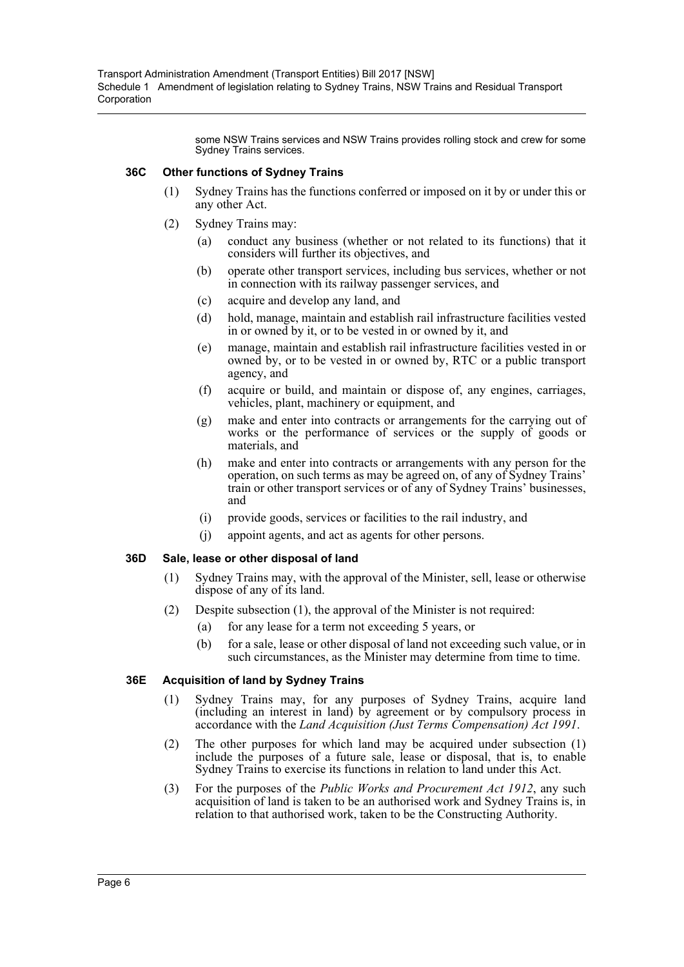some NSW Trains services and NSW Trains provides rolling stock and crew for some Sydney Trains services.

### **36C Other functions of Sydney Trains**

- (1) Sydney Trains has the functions conferred or imposed on it by or under this or any other Act.
- (2) Sydney Trains may:
	- (a) conduct any business (whether or not related to its functions) that it considers will further its objectives, and
	- (b) operate other transport services, including bus services, whether or not in connection with its railway passenger services, and
	- (c) acquire and develop any land, and
	- (d) hold, manage, maintain and establish rail infrastructure facilities vested in or owned by it, or to be vested in or owned by it, and
	- (e) manage, maintain and establish rail infrastructure facilities vested in or owned by, or to be vested in or owned by, RTC or a public transport agency, and
	- (f) acquire or build, and maintain or dispose of, any engines, carriages, vehicles, plant, machinery or equipment, and
	- (g) make and enter into contracts or arrangements for the carrying out of works or the performance of services or the supply of goods or materials, and
	- (h) make and enter into contracts or arrangements with any person for the operation, on such terms as may be agreed on, of any of Sydney Trains' train or other transport services or of any of Sydney Trains' businesses, and
	- (i) provide goods, services or facilities to the rail industry, and
	- (j) appoint agents, and act as agents for other persons.

### **36D Sale, lease or other disposal of land**

- (1) Sydney Trains may, with the approval of the Minister, sell, lease or otherwise dispose of any of its land.
- (2) Despite subsection (1), the approval of the Minister is not required:
	- (a) for any lease for a term not exceeding 5 years, or
	- (b) for a sale, lease or other disposal of land not exceeding such value, or in such circumstances, as the Minister may determine from time to time.

### **36E Acquisition of land by Sydney Trains**

- (1) Sydney Trains may, for any purposes of Sydney Trains, acquire land (including an interest in land) by agreement or by compulsory process in accordance with the *Land Acquisition (Just Terms Compensation) Act 1991*.
- (2) The other purposes for which land may be acquired under subsection (1) include the purposes of a future sale, lease or disposal, that is, to enable Sydney Trains to exercise its functions in relation to land under this Act.
- (3) For the purposes of the *Public Works and Procurement Act 1912*, any such acquisition of land is taken to be an authorised work and Sydney Trains is, in relation to that authorised work, taken to be the Constructing Authority.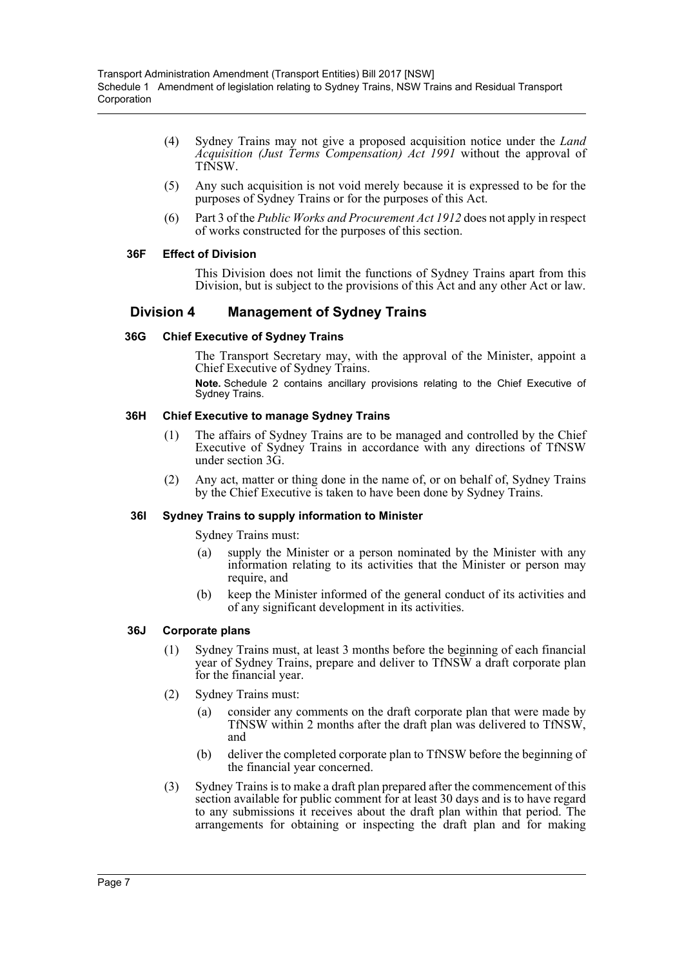- (4) Sydney Trains may not give a proposed acquisition notice under the *Land Acquisition (Just Terms Compensation) Act 1991* without the approval of TfNSW.
- (5) Any such acquisition is not void merely because it is expressed to be for the purposes of Sydney Trains or for the purposes of this Act.
- (6) Part 3 of the *Public Works and Procurement Act 1912* does not apply in respect of works constructed for the purposes of this section.

### **36F Effect of Division**

This Division does not limit the functions of Sydney Trains apart from this Division, but is subject to the provisions of this Act and any other Act or law.

## **Division 4 Management of Sydney Trains**

### **36G Chief Executive of Sydney Trains**

The Transport Secretary may, with the approval of the Minister, appoint a Chief Executive of Sydney Trains.

**Note.** Schedule 2 contains ancillary provisions relating to the Chief Executive of Sydney Trains.

### **36H Chief Executive to manage Sydney Trains**

- (1) The affairs of Sydney Trains are to be managed and controlled by the Chief Executive of Sydney Trains in accordance with any directions of TfNSW under section 3G.
- (2) Any act, matter or thing done in the name of, or on behalf of, Sydney Trains by the Chief Executive is taken to have been done by Sydney Trains.

### **36I Sydney Trains to supply information to Minister**

Sydney Trains must:

- (a) supply the Minister or a person nominated by the Minister with any information relating to its activities that the Minister or person may require, and
- (b) keep the Minister informed of the general conduct of its activities and of any significant development in its activities.

#### **36J Corporate plans**

- (1) Sydney Trains must, at least 3 months before the beginning of each financial year of Sydney Trains, prepare and deliver to TfNSW a draft corporate plan for the financial year.
- (2) Sydney Trains must:
	- (a) consider any comments on the draft corporate plan that were made by TfNSW within 2 months after the draft plan was delivered to TfNSW, and
	- (b) deliver the completed corporate plan to TfNSW before the beginning of the financial year concerned.
- (3) Sydney Trains is to make a draft plan prepared after the commencement of this section available for public comment for at least 30 days and is to have regard to any submissions it receives about the draft plan within that period. The arrangements for obtaining or inspecting the draft plan and for making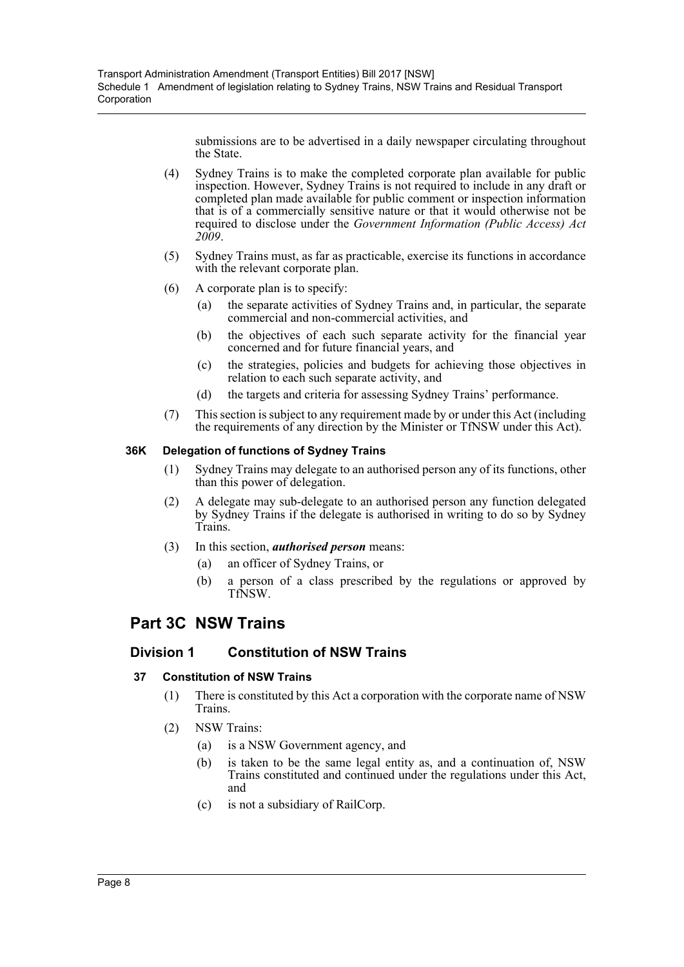submissions are to be advertised in a daily newspaper circulating throughout the State.

- (4) Sydney Trains is to make the completed corporate plan available for public inspection. However, Sydney Trains is not required to include in any draft or completed plan made available for public comment or inspection information that is of a commercially sensitive nature or that it would otherwise not be required to disclose under the *Government Information (Public Access) Act 2009*.
- (5) Sydney Trains must, as far as practicable, exercise its functions in accordance with the relevant corporate plan.
- (6) A corporate plan is to specify:
	- (a) the separate activities of Sydney Trains and, in particular, the separate commercial and non-commercial activities, and
	- (b) the objectives of each such separate activity for the financial year concerned and for future financial years, and
	- (c) the strategies, policies and budgets for achieving those objectives in relation to each such separate activity, and
	- (d) the targets and criteria for assessing Sydney Trains' performance.
- (7) This section is subject to any requirement made by or under this Act (including the requirements of any direction by the Minister or TfNSW under this Act).

## **36K Delegation of functions of Sydney Trains**

- (1) Sydney Trains may delegate to an authorised person any of its functions, other than this power of delegation.
- (2) A delegate may sub-delegate to an authorised person any function delegated by Sydney Trains if the delegate is authorised in writing to do so by Sydney Trains.
- (3) In this section, *authorised person* means:
	- (a) an officer of Sydney Trains, or
	- (b) a person of a class prescribed by the regulations or approved by TfNSW.

## **Part 3C NSW Trains**

## **Division 1 Constitution of NSW Trains**

## **37 Constitution of NSW Trains**

- (1) There is constituted by this Act a corporation with the corporate name of NSW Trains.
- (2) NSW Trains:
	- (a) is a NSW Government agency, and
	- (b) is taken to be the same legal entity as, and a continuation of, NSW Trains constituted and continued under the regulations under this Act, and
	- (c) is not a subsidiary of RailCorp.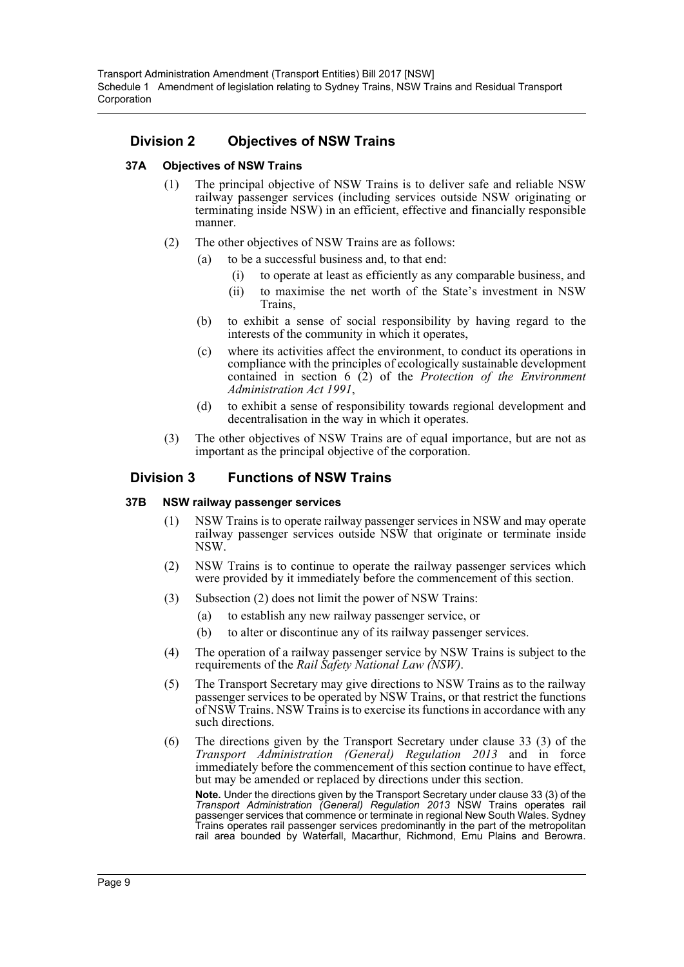## **Division 2 Objectives of NSW Trains**

## **37A Objectives of NSW Trains**

- (1) The principal objective of NSW Trains is to deliver safe and reliable NSW railway passenger services (including services outside NSW originating or terminating inside NSW) in an efficient, effective and financially responsible manner.
- (2) The other objectives of NSW Trains are as follows:
	- (a) to be a successful business and, to that end:
		- (i) to operate at least as efficiently as any comparable business, and
		- (ii) to maximise the net worth of the State's investment in NSW Trains,
		- (b) to exhibit a sense of social responsibility by having regard to the interests of the community in which it operates,
		- (c) where its activities affect the environment, to conduct its operations in compliance with the principles of ecologically sustainable development contained in section 6 (2) of the *Protection of the Environment Administration Act 1991*,
		- (d) to exhibit a sense of responsibility towards regional development and decentralisation in the way in which it operates.
- (3) The other objectives of NSW Trains are of equal importance, but are not as important as the principal objective of the corporation.

## **Division 3 Functions of NSW Trains**

### **37B NSW railway passenger services**

- (1) NSW Trains is to operate railway passenger services in NSW and may operate railway passenger services outside NSW that originate or terminate inside NSW.
- (2) NSW Trains is to continue to operate the railway passenger services which were provided by it immediately before the commencement of this section.
- (3) Subsection (2) does not limit the power of NSW Trains:
	- (a) to establish any new railway passenger service, or
	- (b) to alter or discontinue any of its railway passenger services.
- (4) The operation of a railway passenger service by NSW Trains is subject to the requirements of the *Rail Safety National Law (NSW)*.
- (5) The Transport Secretary may give directions to NSW Trains as to the railway passenger services to be operated by NSW Trains, or that restrict the functions of NSW Trains. NSW Trains is to exercise its functions in accordance with any such directions.
- (6) The directions given by the Transport Secretary under clause 33 (3) of the *Transport Administration (General) Regulation 2013* and in force immediately before the commencement of this section continue to have effect, but may be amended or replaced by directions under this section.

**Note.** Under the directions given by the Transport Secretary under clause 33 (3) of the *Transport Administration (General) Regulation 2013* NSW Trains operates rail passenger services that commence or terminate in regional New South Wales. Sydney Trains operates rail passenger services predominantly in the part of the metropolitan rail area bounded by Waterfall, Macarthur, Richmond, Emu Plains and Berowra.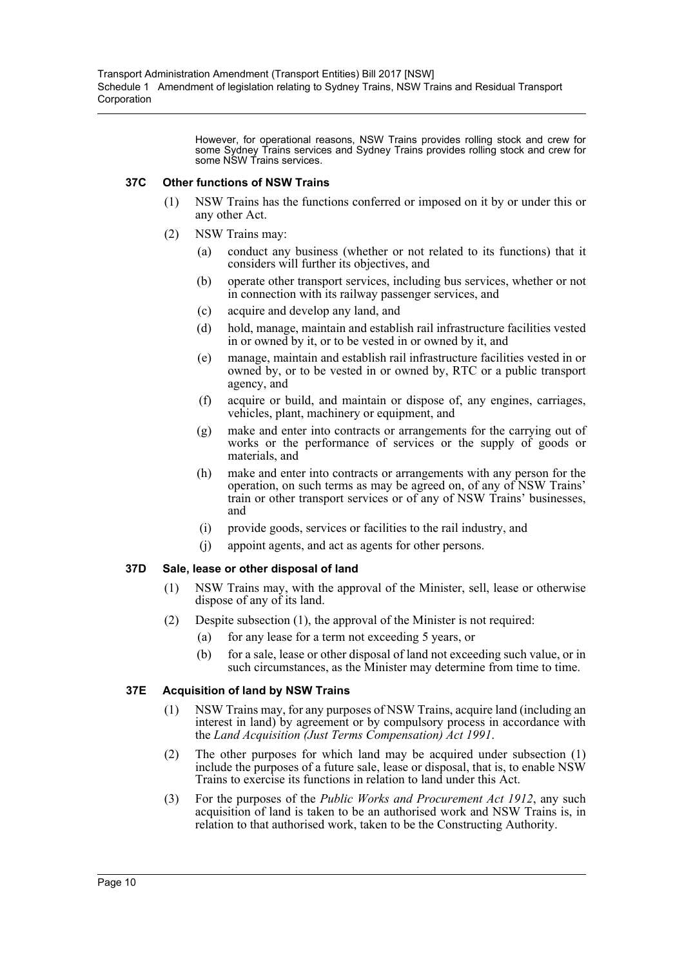However, for operational reasons, NSW Trains provides rolling stock and crew for some Sydney Trains services and Sydney Trains provides rolling stock and crew for some NSW Trains services.

### **37C Other functions of NSW Trains**

- (1) NSW Trains has the functions conferred or imposed on it by or under this or any other Act.
- (2) NSW Trains may:
	- (a) conduct any business (whether or not related to its functions) that it considers will further its objectives, and
	- (b) operate other transport services, including bus services, whether or not in connection with its railway passenger services, and
	- (c) acquire and develop any land, and
	- (d) hold, manage, maintain and establish rail infrastructure facilities vested in or owned by it, or to be vested in or owned by it, and
	- (e) manage, maintain and establish rail infrastructure facilities vested in or owned by, or to be vested in or owned by, RTC or a public transport agency, and
	- (f) acquire or build, and maintain or dispose of, any engines, carriages, vehicles, plant, machinery or equipment, and
	- (g) make and enter into contracts or arrangements for the carrying out of works or the performance of services or the supply of goods or materials, and
	- (h) make and enter into contracts or arrangements with any person for the operation, on such terms as may be agreed on, of any of NSW Trains' train or other transport services or of any of NSW Trains' businesses, and
	- (i) provide goods, services or facilities to the rail industry, and
	- (j) appoint agents, and act as agents for other persons.

### **37D Sale, lease or other disposal of land**

- (1) NSW Trains may, with the approval of the Minister, sell, lease or otherwise dispose of any of its land.
- (2) Despite subsection (1), the approval of the Minister is not required:
	- (a) for any lease for a term not exceeding 5 years, or
	- (b) for a sale, lease or other disposal of land not exceeding such value, or in such circumstances, as the Minister may determine from time to time.

### **37E Acquisition of land by NSW Trains**

- (1) NSW Trains may, for any purposes of NSW Trains, acquire land (including an interest in land) by agreement or by compulsory process in accordance with the *Land Acquisition (Just Terms Compensation) Act 1991*.
- (2) The other purposes for which land may be acquired under subsection (1) include the purposes of a future sale, lease or disposal, that is, to enable NSW Trains to exercise its functions in relation to land under this Act.
- (3) For the purposes of the *Public Works and Procurement Act 1912*, any such acquisition of land is taken to be an authorised work and NSW Trains is, in relation to that authorised work, taken to be the Constructing Authority.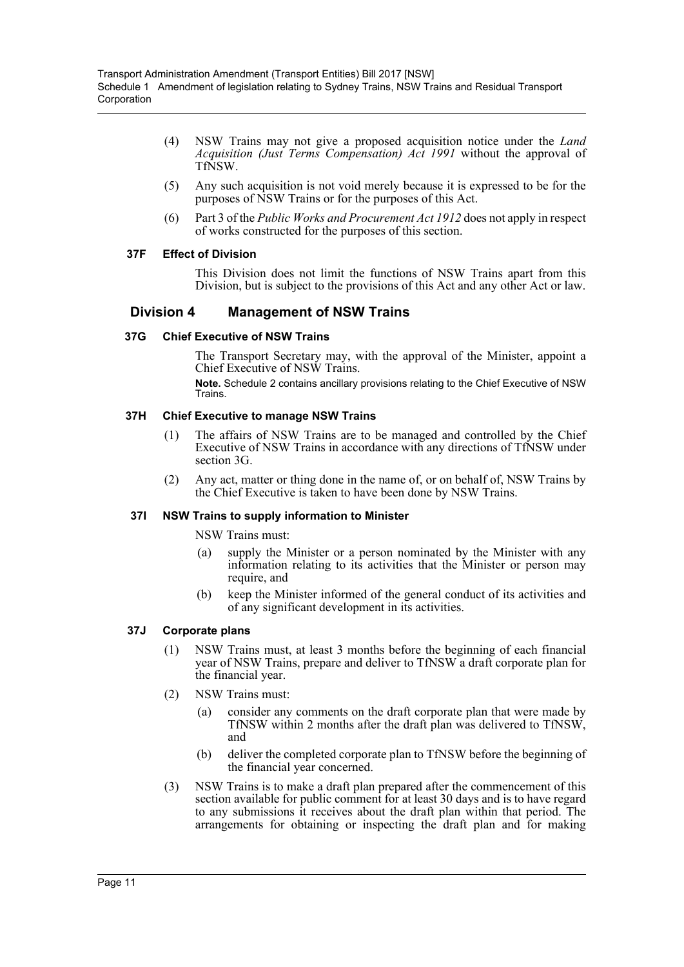- (4) NSW Trains may not give a proposed acquisition notice under the *Land Acquisition (Just Terms Compensation) Act 1991* without the approval of TfNSW.
- (5) Any such acquisition is not void merely because it is expressed to be for the purposes of NSW Trains or for the purposes of this Act.
- (6) Part 3 of the *Public Works and Procurement Act 1912* does not apply in respect of works constructed for the purposes of this section.

## **37F Effect of Division**

This Division does not limit the functions of NSW Trains apart from this Division, but is subject to the provisions of this Act and any other Act or law.

## **Division 4 Management of NSW Trains**

### **37G Chief Executive of NSW Trains**

The Transport Secretary may, with the approval of the Minister, appoint a Chief Executive of NSW Trains.

**Note.** Schedule 2 contains ancillary provisions relating to the Chief Executive of NSW Trains.

## **37H Chief Executive to manage NSW Trains**

- (1) The affairs of NSW Trains are to be managed and controlled by the Chief Executive of NSW Trains in accordance with any directions of TfNSW under section 3G.
- (2) Any act, matter or thing done in the name of, or on behalf of, NSW Trains by the Chief Executive is taken to have been done by NSW Trains.

### **37I NSW Trains to supply information to Minister**

NSW Trains must:

- (a) supply the Minister or a person nominated by the Minister with any information relating to its activities that the Minister or person may require, and
- (b) keep the Minister informed of the general conduct of its activities and of any significant development in its activities.

### **37J Corporate plans**

- (1) NSW Trains must, at least 3 months before the beginning of each financial year of NSW Trains, prepare and deliver to TfNSW a draft corporate plan for the financial year.
- (2) NSW Trains must:
	- (a) consider any comments on the draft corporate plan that were made by TfNSW within 2 months after the draft plan was delivered to TfNSW, and
	- (b) deliver the completed corporate plan to TfNSW before the beginning of the financial year concerned.
- (3) NSW Trains is to make a draft plan prepared after the commencement of this section available for public comment for at least 30 days and is to have regard to any submissions it receives about the draft plan within that period. The arrangements for obtaining or inspecting the draft plan and for making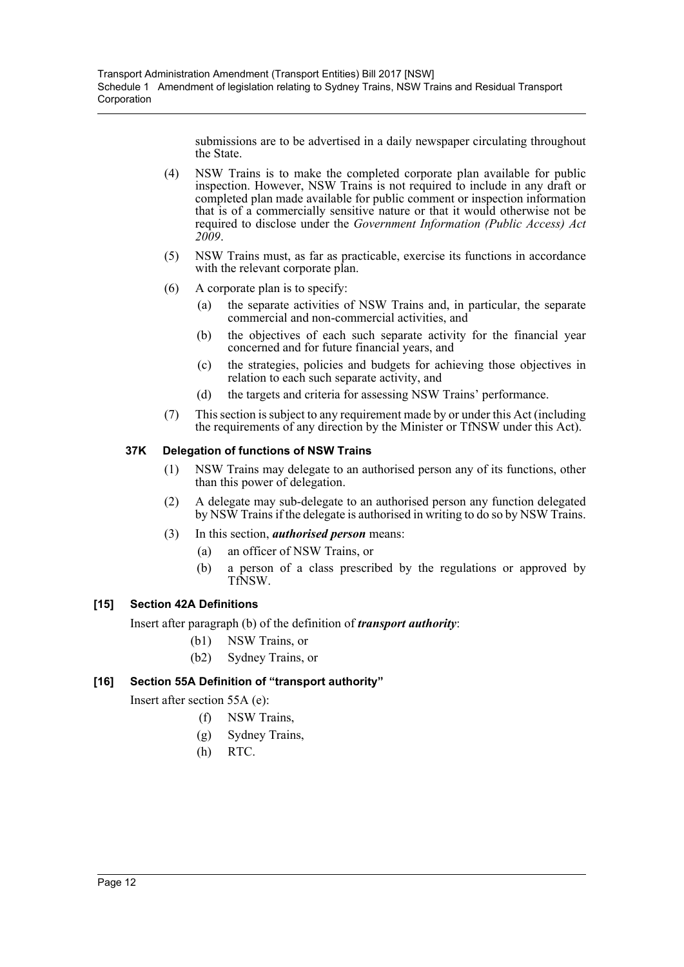submissions are to be advertised in a daily newspaper circulating throughout the State.

- (4) NSW Trains is to make the completed corporate plan available for public inspection. However, NSW Trains is not required to include in any draft or completed plan made available for public comment or inspection information that is of a commercially sensitive nature or that it would otherwise not be required to disclose under the *Government Information (Public Access) Act 2009*.
- (5) NSW Trains must, as far as practicable, exercise its functions in accordance with the relevant corporate plan.
- (6) A corporate plan is to specify:
	- (a) the separate activities of NSW Trains and, in particular, the separate commercial and non-commercial activities, and
	- (b) the objectives of each such separate activity for the financial year concerned and for future financial years, and
	- (c) the strategies, policies and budgets for achieving those objectives in relation to each such separate activity, and
	- (d) the targets and criteria for assessing NSW Trains' performance.
- (7) This section is subject to any requirement made by or under this Act (including the requirements of any direction by the Minister or TfNSW under this Act).

## **37K Delegation of functions of NSW Trains**

- (1) NSW Trains may delegate to an authorised person any of its functions, other than this power of delegation.
- (2) A delegate may sub-delegate to an authorised person any function delegated by NSW Trains if the delegate is authorised in writing to do so by NSW Trains.
- (3) In this section, *authorised person* means:
	- (a) an officer of NSW Trains, or
	- (b) a person of a class prescribed by the regulations or approved by TfNSW.

## **[15] Section 42A Definitions**

Insert after paragraph (b) of the definition of *transport authority*:

- (b1) NSW Trains, or
	- (b2) Sydney Trains, or

## **[16] Section 55A Definition of "transport authority"**

Insert after section 55A (e):

- (f) NSW Trains,
- (g) Sydney Trains,
- (h) RTC.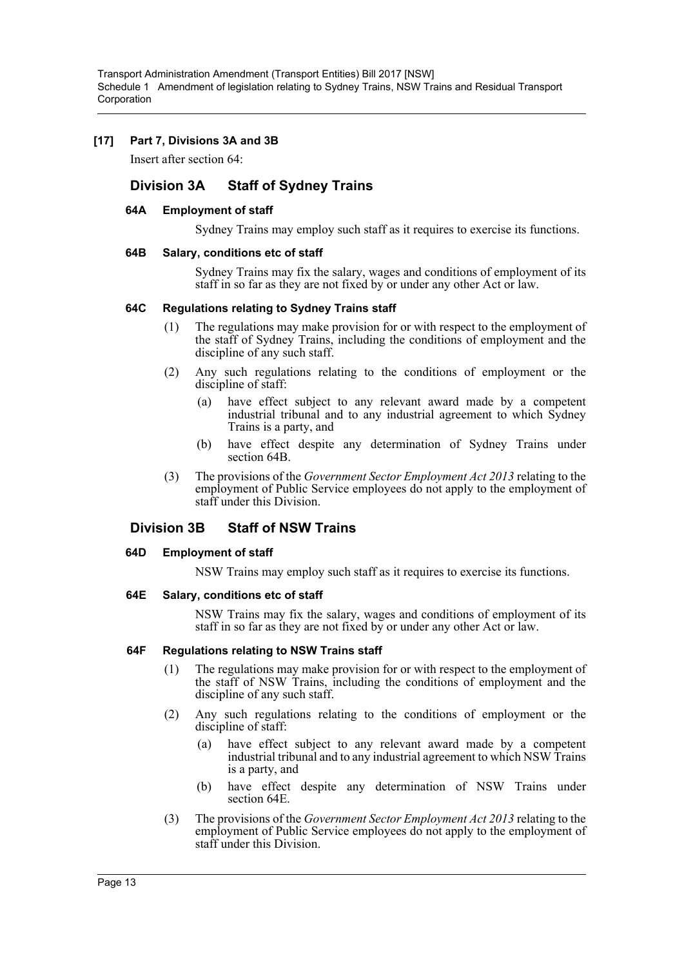### **[17] Part 7, Divisions 3A and 3B**

Insert after section 64:

## **Division 3A Staff of Sydney Trains**

### **64A Employment of staff**

Sydney Trains may employ such staff as it requires to exercise its functions.

### **64B Salary, conditions etc of staff**

Sydney Trains may fix the salary, wages and conditions of employment of its staff in so far as they are not fixed by or under any other Act or law.

### **64C Regulations relating to Sydney Trains staff**

- (1) The regulations may make provision for or with respect to the employment of the staff of Sydney Trains, including the conditions of employment and the discipline of any such staff.
- (2) Any such regulations relating to the conditions of employment or the discipline of staff:
	- (a) have effect subject to any relevant award made by a competent industrial tribunal and to any industrial agreement to which Sydney Trains is a party, and
	- (b) have effect despite any determination of Sydney Trains under section 64B.
- (3) The provisions of the *Government Sector Employment Act 2013* relating to the employment of Public Service employees do not apply to the employment of staff under this Division.

## **Division 3B Staff of NSW Trains**

#### **64D Employment of staff**

NSW Trains may employ such staff as it requires to exercise its functions.

#### **64E Salary, conditions etc of staff**

NSW Trains may fix the salary, wages and conditions of employment of its staff in so far as they are not fixed by or under any other Act or law.

### **64F Regulations relating to NSW Trains staff**

- (1) The regulations may make provision for or with respect to the employment of the staff of NSW Trains, including the conditions of employment and the discipline of any such staff.
- (2) Any such regulations relating to the conditions of employment or the discipline of staff:
	- (a) have effect subject to any relevant award made by a competent industrial tribunal and to any industrial agreement to which NSW Trains is a party, and
	- (b) have effect despite any determination of NSW Trains under section 64E.
- (3) The provisions of the *Government Sector Employment Act 2013* relating to the employment of Public Service employees do not apply to the employment of staff under this Division.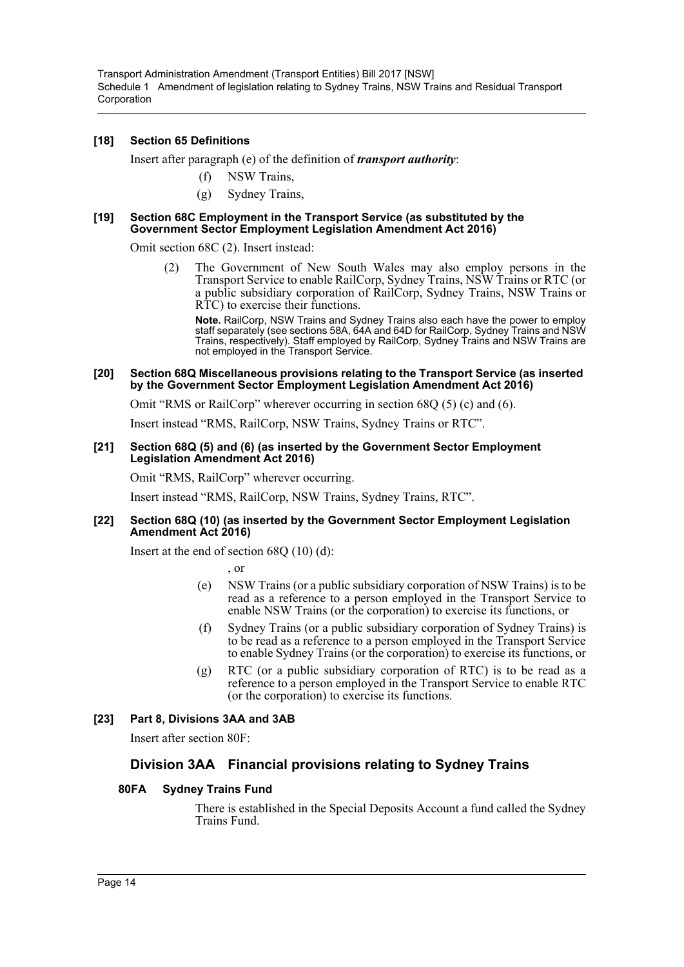## **[18] Section 65 Definitions**

Insert after paragraph (e) of the definition of *transport authority*:

- (f) NSW Trains,
- (g) Sydney Trains,

#### **[19] Section 68C Employment in the Transport Service (as substituted by the Government Sector Employment Legislation Amendment Act 2016)**

Omit section 68C (2). Insert instead:

(2) The Government of New South Wales may also employ persons in the Transport Service to enable RailCorp, Sydney Trains, NSW Trains or RTC (or a public subsidiary corporation of RailCorp, Sydney Trains, NSW Trains or RTC) to exercise their functions.

**Note.** RailCorp, NSW Trains and Sydney Trains also each have the power to employ staff separately (see sections 58A, 64A and 64D for RailCorp, Sydney Trains and NSW Trains, respectively). Staff employed by RailCorp, Sydney Trains and NSW Trains are not employed in the Transport Service.

#### **[20] Section 68Q Miscellaneous provisions relating to the Transport Service (as inserted by the Government Sector Employment Legislation Amendment Act 2016)**

Omit "RMS or RailCorp" wherever occurring in section 68Q (5) (c) and (6).

Insert instead "RMS, RailCorp, NSW Trains, Sydney Trains or RTC".

#### **[21] Section 68Q (5) and (6) (as inserted by the Government Sector Employment Legislation Amendment Act 2016)**

Omit "RMS, RailCorp" wherever occurring.

Insert instead "RMS, RailCorp, NSW Trains, Sydney Trains, RTC".

### **[22] Section 68Q (10) (as inserted by the Government Sector Employment Legislation Amendment Act 2016)**

Insert at the end of section 68Q (10) (d):

, or

- (e) NSW Trains (or a public subsidiary corporation of NSW Trains) is to be read as a reference to a person employed in the Transport Service to enable NSW Trains (or the corporation) to exercise its functions, or
- (f) Sydney Trains (or a public subsidiary corporation of Sydney Trains) is to be read as a reference to a person employed in the Transport Service to enable Sydney Trains (or the corporation) to exercise its functions, or
- (g) RTC (or a public subsidiary corporation of RTC) is to be read as a reference to a person employed in the Transport Service to enable RTC (or the corporation) to exercise its functions.

## **[23] Part 8, Divisions 3AA and 3AB**

Insert after section 80F:

## **Division 3AA Financial provisions relating to Sydney Trains**

### **80FA Sydney Trains Fund**

There is established in the Special Deposits Account a fund called the Sydney Trains Fund.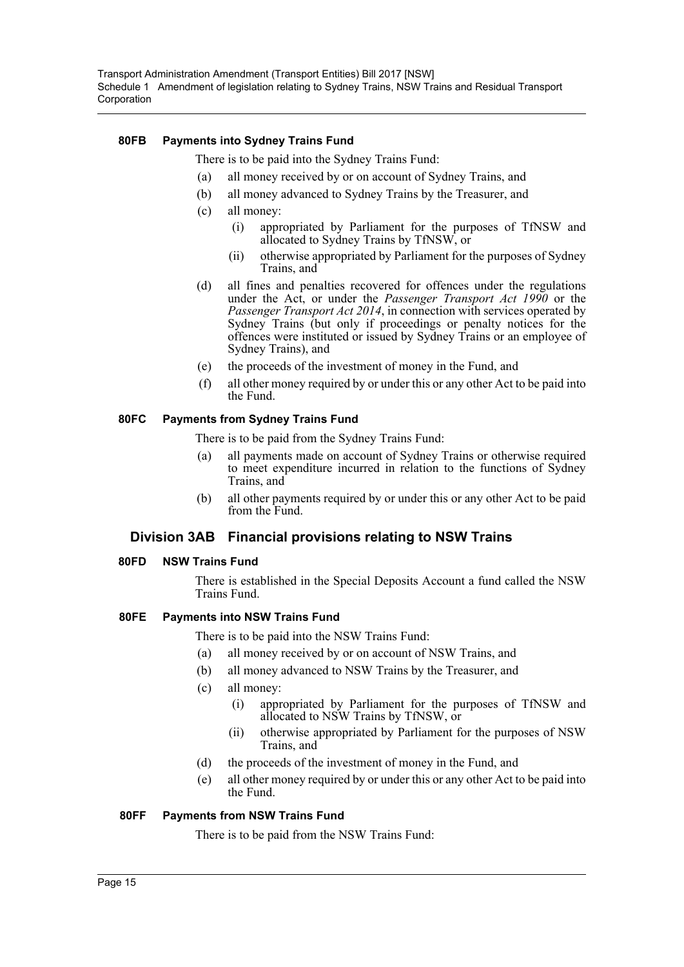## **80FB Payments into Sydney Trains Fund**

There is to be paid into the Sydney Trains Fund:

- (a) all money received by or on account of Sydney Trains, and
- (b) all money advanced to Sydney Trains by the Treasurer, and
- (c) all money:
	- (i) appropriated by Parliament for the purposes of TfNSW and allocated to Sydney Trains by TfNSW, or
	- (ii) otherwise appropriated by Parliament for the purposes of Sydney Trains, and
- (d) all fines and penalties recovered for offences under the regulations under the Act, or under the *Passenger Transport Act 1990* or the *Passenger Transport Act 2014*, in connection with services operated by Sydney Trains (but only if proceedings or penalty notices for the offences were instituted or issued by Sydney Trains or an employee of Sydney Trains), and
- (e) the proceeds of the investment of money in the Fund, and
- (f) all other money required by or under this or any other Act to be paid into the Fund.

## **80FC Payments from Sydney Trains Fund**

There is to be paid from the Sydney Trains Fund:

- (a) all payments made on account of Sydney Trains or otherwise required to meet expenditure incurred in relation to the functions of Sydney Trains, and
- (b) all other payments required by or under this or any other Act to be paid from the Fund.

## **Division 3AB Financial provisions relating to NSW Trains**

### **80FD NSW Trains Fund**

There is established in the Special Deposits Account a fund called the NSW Trains Fund.

### **80FE Payments into NSW Trains Fund**

There is to be paid into the NSW Trains Fund:

- (a) all money received by or on account of NSW Trains, and
- (b) all money advanced to NSW Trains by the Treasurer, and
- (c) all money:
	- (i) appropriated by Parliament for the purposes of TfNSW and allocated to NSW Trains by TfNSW, or
	- (ii) otherwise appropriated by Parliament for the purposes of NSW Trains, and
- (d) the proceeds of the investment of money in the Fund, and
- (e) all other money required by or under this or any other Act to be paid into the Fund.

### **80FF Payments from NSW Trains Fund**

There is to be paid from the NSW Trains Fund: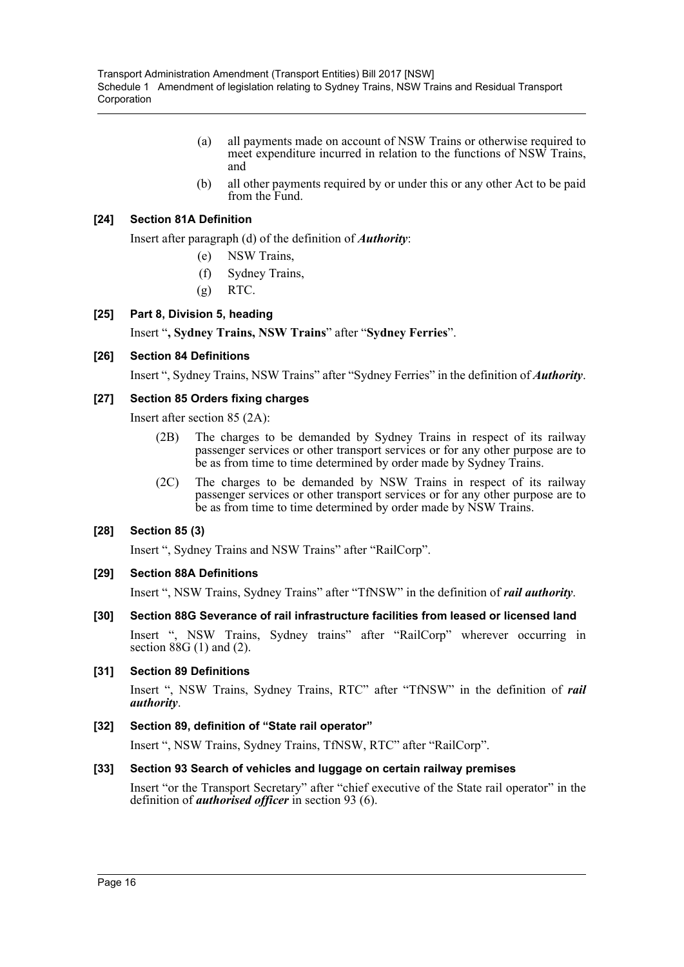- (a) all payments made on account of NSW Trains or otherwise required to meet expenditure incurred in relation to the functions of NSW Trains, and
- (b) all other payments required by or under this or any other Act to be paid from the Fund.

## **[24] Section 81A Definition**

Insert after paragraph (d) of the definition of *Authority*:

- (e) NSW Trains,
- (f) Sydney Trains,
- $(g)$  RTC.

## **[25] Part 8, Division 5, heading**

Insert "**, Sydney Trains, NSW Trains**" after "**Sydney Ferries**".

## **[26] Section 84 Definitions**

Insert ", Sydney Trains, NSW Trains" after "Sydney Ferries" in the definition of *Authority*.

## **[27] Section 85 Orders fixing charges**

Insert after section 85 (2A):

- (2B) The charges to be demanded by Sydney Trains in respect of its railway passenger services or other transport services or for any other purpose are to be as from time to time determined by order made by Sydney Trains.
- (2C) The charges to be demanded by NSW Trains in respect of its railway passenger services or other transport services or for any other purpose are to be as from time to time determined by order made by NSW Trains.

### **[28] Section 85 (3)**

Insert ", Sydney Trains and NSW Trains" after "RailCorp".

### **[29] Section 88A Definitions**

Insert ", NSW Trains, Sydney Trains" after "TfNSW" in the definition of *rail authority*.

## **[30] Section 88G Severance of rail infrastructure facilities from leased or licensed land**

Insert ", NSW Trains, Sydney trains" after "RailCorp" wherever occurring in section 88G (1) and (2).

### **[31] Section 89 Definitions**

Insert ", NSW Trains, Sydney Trains, RTC" after "TfNSW" in the definition of *rail authority*.

## **[32] Section 89, definition of "State rail operator"**

Insert ", NSW Trains, Sydney Trains, TfNSW, RTC" after "RailCorp".

### **[33] Section 93 Search of vehicles and luggage on certain railway premises**

Insert "or the Transport Secretary" after "chief executive of the State rail operator" in the definition of *authorised officer* in section 93 (6).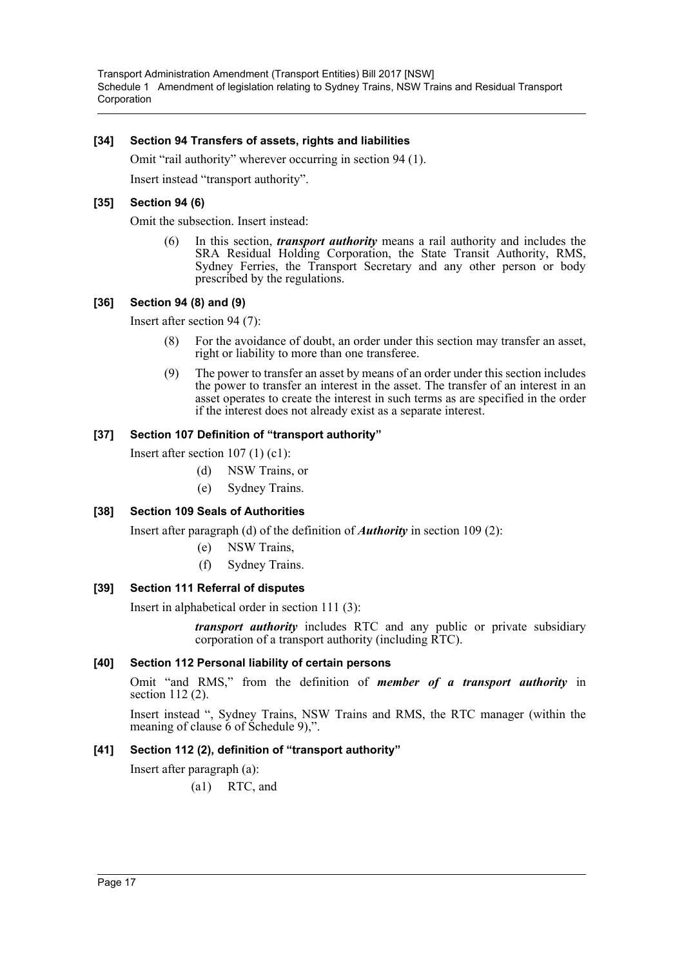### **[34] Section 94 Transfers of assets, rights and liabilities**

Omit "rail authority" wherever occurring in section 94 (1). Insert instead "transport authority".

### **[35] Section 94 (6)**

Omit the subsection. Insert instead:

(6) In this section, *transport authority* means a rail authority and includes the SRA Residual Holding Corporation, the State Transit Authority, RMS, Sydney Ferries, the Transport Secretary and any other person or body prescribed by the regulations.

## **[36] Section 94 (8) and (9)**

Insert after section 94 (7):

- (8) For the avoidance of doubt, an order under this section may transfer an asset, right or liability to more than one transferee.
- (9) The power to transfer an asset by means of an order under this section includes the power to transfer an interest in the asset. The transfer of an interest in an asset operates to create the interest in such terms as are specified in the order if the interest does not already exist as a separate interest.

## **[37] Section 107 Definition of "transport authority"**

Insert after section 107 (1) (c1):

- (d) NSW Trains, or
- (e) Sydney Trains.

### **[38] Section 109 Seals of Authorities**

Insert after paragraph (d) of the definition of *Authority* in section 109 (2):

- (e) NSW Trains,
- (f) Sydney Trains.

### **[39] Section 111 Referral of disputes**

Insert in alphabetical order in section 111 (3):

*transport authority* includes RTC and any public or private subsidiary corporation of a transport authority (including RTC).

### **[40] Section 112 Personal liability of certain persons**

Omit "and RMS," from the definition of *member of a transport authority* in section 112 (2).

Insert instead ", Sydney Trains, NSW Trains and RMS, the RTC manager (within the meaning of clause 6 of Schedule 9),".

### **[41] Section 112 (2), definition of "transport authority"**

Insert after paragraph (a):

(a1) RTC, and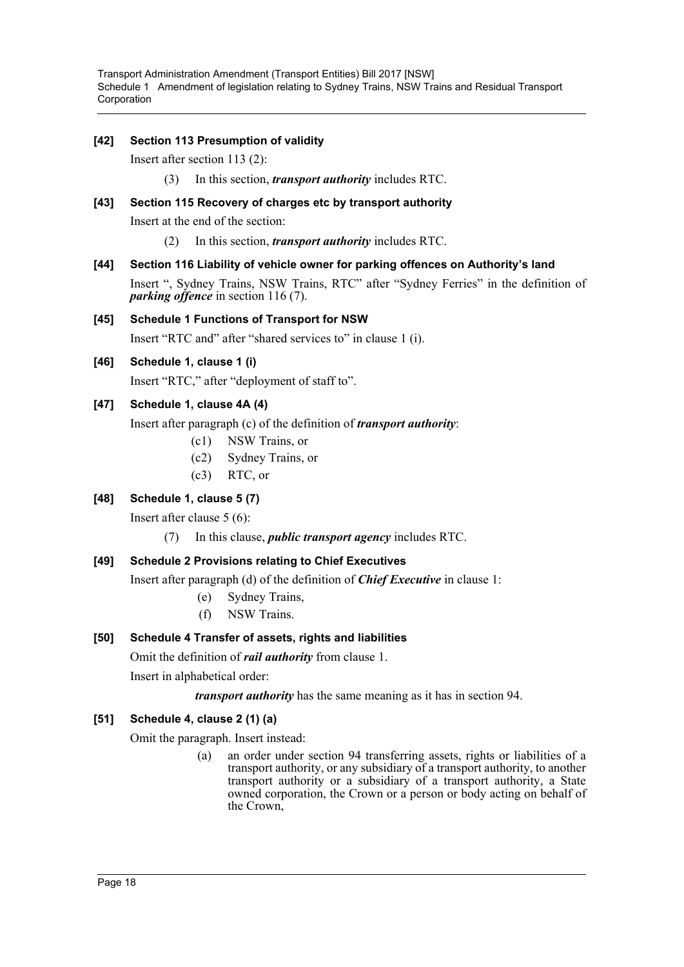## **[42] Section 113 Presumption of validity**

Insert after section 113 (2):

(3) In this section, *transport authority* includes RTC.

### **[43] Section 115 Recovery of charges etc by transport authority**

Insert at the end of the section:

(2) In this section, *transport authority* includes RTC.

## **[44] Section 116 Liability of vehicle owner for parking offences on Authority's land**

Insert ", Sydney Trains, NSW Trains, RTC" after "Sydney Ferries" in the definition of *parking offence* in section 116 (7).

## **[45] Schedule 1 Functions of Transport for NSW**

Insert "RTC and" after "shared services to" in clause 1 (i).

## **[46] Schedule 1, clause 1 (i)**

Insert "RTC," after "deployment of staff to".

## **[47] Schedule 1, clause 4A (4)**

Insert after paragraph (c) of the definition of *transport authority*:

- (c1) NSW Trains, or
- (c2) Sydney Trains, or
- (c3) RTC, or

## **[48] Schedule 1, clause 5 (7)**

Insert after clause 5 (6):

(7) In this clause, *public transport agency* includes RTC.

## **[49] Schedule 2 Provisions relating to Chief Executives**

Insert after paragraph (d) of the definition of *Chief Executive* in clause 1:

- (e) Sydney Trains,
- (f) NSW Trains.

## **[50] Schedule 4 Transfer of assets, rights and liabilities**

Omit the definition of *rail authority* from clause 1.

Insert in alphabetical order:

*transport authority* has the same meaning as it has in section 94.

## **[51] Schedule 4, clause 2 (1) (a)**

Omit the paragraph. Insert instead:

(a) an order under section 94 transferring assets, rights or liabilities of a transport authority, or any subsidiary of a transport authority, to another transport authority or a subsidiary of a transport authority, a State owned corporation, the Crown or a person or body acting on behalf of the Crown,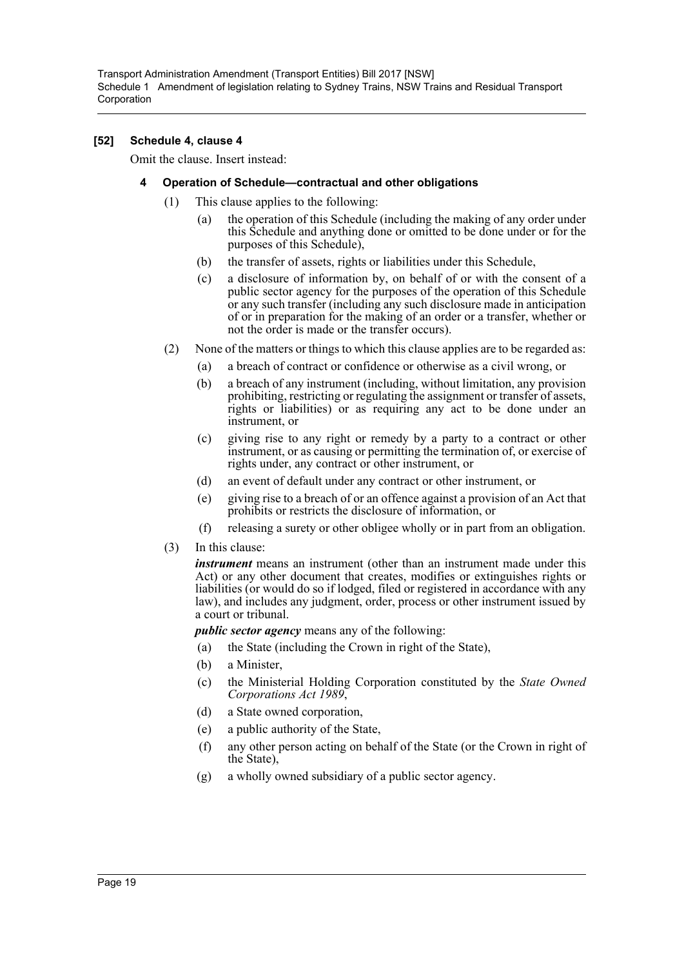### **[52] Schedule 4, clause 4**

Omit the clause. Insert instead:

### **4 Operation of Schedule—contractual and other obligations**

- (1) This clause applies to the following:
	- (a) the operation of this Schedule (including the making of any order under this Schedule and anything done or omitted to be done under or for the purposes of this Schedule),
	- (b) the transfer of assets, rights or liabilities under this Schedule,
	- (c) a disclosure of information by, on behalf of or with the consent of a public sector agency for the purposes of the operation of this Schedule or any such transfer (including any such disclosure made in anticipation of or in preparation for the making of an order or a transfer, whether or not the order is made or the transfer occurs).
- (2) None of the matters or things to which this clause applies are to be regarded as:
	- (a) a breach of contract or confidence or otherwise as a civil wrong, or
	- (b) a breach of any instrument (including, without limitation, any provision prohibiting, restricting or regulating the assignment or transfer of assets, rights or liabilities) or as requiring any act to be done under an instrument, or
	- (c) giving rise to any right or remedy by a party to a contract or other instrument, or as causing or permitting the termination of, or exercise of rights under, any contract or other instrument, or
	- (d) an event of default under any contract or other instrument, or
	- (e) giving rise to a breach of or an offence against a provision of an Act that prohibits or restricts the disclosure of information, or
	- (f) releasing a surety or other obligee wholly or in part from an obligation.
- (3) In this clause:

*instrument* means an instrument (other than an instrument made under this Act) or any other document that creates, modifies or extinguishes rights or liabilities (or would do so if lodged, filed or registered in accordance with any law), and includes any judgment, order, process or other instrument issued by a court or tribunal.

*public sector agency* means any of the following:

- (a) the State (including the Crown in right of the State),
- (b) a Minister,
- (c) the Ministerial Holding Corporation constituted by the *State Owned Corporations Act 1989*,
- (d) a State owned corporation,
- (e) a public authority of the State,
- (f) any other person acting on behalf of the State (or the Crown in right of the State),
- (g) a wholly owned subsidiary of a public sector agency.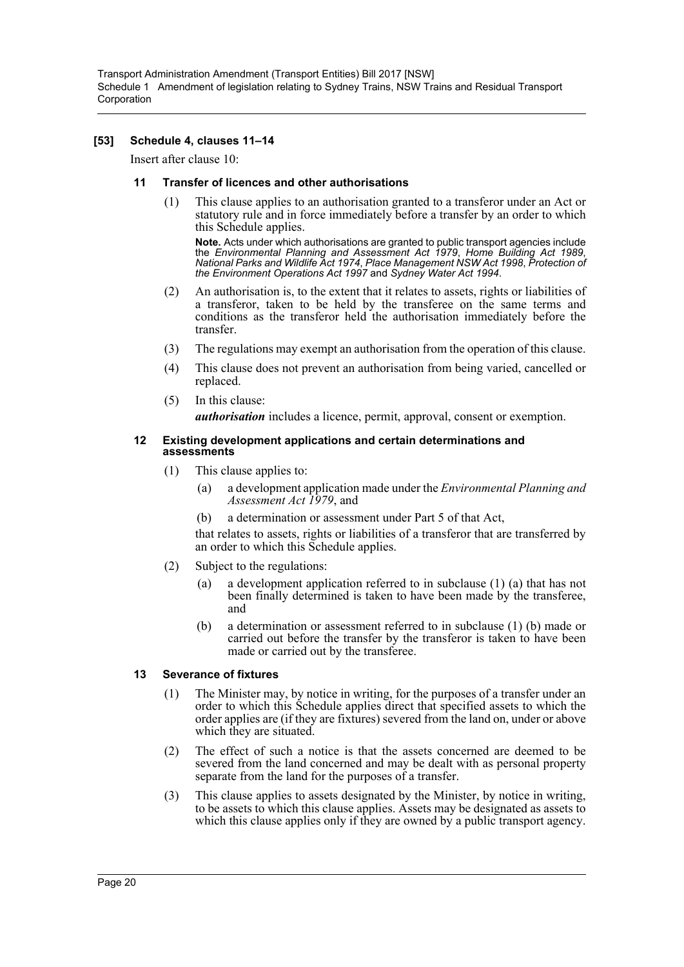## **[53] Schedule 4, clauses 11–14**

Insert after clause 10:

### **11 Transfer of licences and other authorisations**

(1) This clause applies to an authorisation granted to a transferor under an Act or statutory rule and in force immediately before a transfer by an order to which this Schedule applies.

**Note.** Acts under which authorisations are granted to public transport agencies include the *Environmental Planning and Assessment Act 1979*, *Home Building Act 1989*, *National Parks and Wildlife Act 1974*, *Place Management NSW Act 1998*, *Protection of the Environment Operations Act 1997* and *Sydney Water Act 1994*.

- (2) An authorisation is, to the extent that it relates to assets, rights or liabilities of a transferor, taken to be held by the transferee on the same terms and conditions as the transferor held the authorisation immediately before the transfer.
- (3) The regulations may exempt an authorisation from the operation of this clause.
- (4) This clause does not prevent an authorisation from being varied, cancelled or replaced.
- (5) In this clause: *authorisation* includes a licence, permit, approval, consent or exemption.

#### **12 Existing development applications and certain determinations and assessments**

- (1) This clause applies to:
	- (a) a development application made under the *Environmental Planning and Assessment Act 1979*, and
	- (b) a determination or assessment under Part 5 of that Act,

that relates to assets, rights or liabilities of a transferor that are transferred by an order to which this Schedule applies.

- (2) Subject to the regulations:
	- (a) a development application referred to in subclause (1) (a) that has not been finally determined is taken to have been made by the transferee, and
	- (b) a determination or assessment referred to in subclause (1) (b) made or carried out before the transfer by the transferor is taken to have been made or carried out by the transferee.

### **13 Severance of fixtures**

- (1) The Minister may, by notice in writing, for the purposes of a transfer under an order to which this Schedule applies direct that specified assets to which the order applies are (if they are fixtures) severed from the land on, under or above which they are situated.
- (2) The effect of such a notice is that the assets concerned are deemed to be severed from the land concerned and may be dealt with as personal property separate from the land for the purposes of a transfer.
- (3) This clause applies to assets designated by the Minister, by notice in writing, to be assets to which this clause applies. Assets may be designated as assets to which this clause applies only if they are owned by a public transport agency.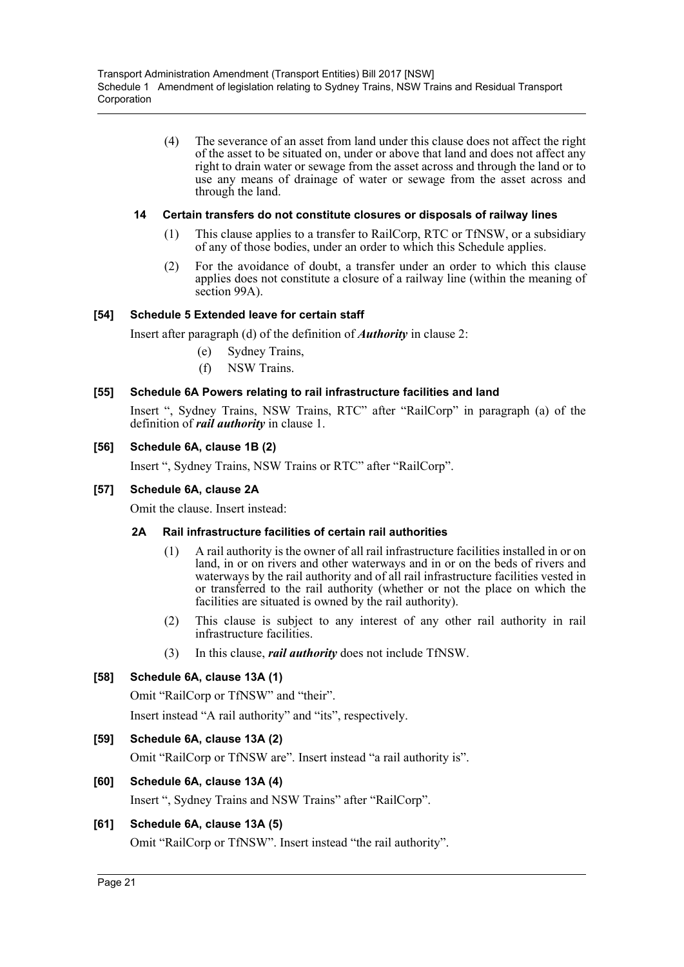(4) The severance of an asset from land under this clause does not affect the right of the asset to be situated on, under or above that land and does not affect any right to drain water or sewage from the asset across and through the land or to use any means of drainage of water or sewage from the asset across and through the land.

### **14 Certain transfers do not constitute closures or disposals of railway lines**

- (1) This clause applies to a transfer to RailCorp, RTC or TfNSW, or a subsidiary of any of those bodies, under an order to which this Schedule applies.
- (2) For the avoidance of doubt, a transfer under an order to which this clause applies does not constitute a closure of a railway line (within the meaning of section 99A).

## **[54] Schedule 5 Extended leave for certain staff**

Insert after paragraph (d) of the definition of *Authority* in clause 2:

- (e) Sydney Trains,
- (f) NSW Trains.

## **[55] Schedule 6A Powers relating to rail infrastructure facilities and land**

Insert ", Sydney Trains, NSW Trains, RTC" after "RailCorp" in paragraph (a) of the definition of *rail authority* in clause 1.

### **[56] Schedule 6A, clause 1B (2)**

Insert ", Sydney Trains, NSW Trains or RTC" after "RailCorp".

### **[57] Schedule 6A, clause 2A**

Omit the clause. Insert instead:

### **2A Rail infrastructure facilities of certain rail authorities**

- (1) A rail authority is the owner of all rail infrastructure facilities installed in or on land, in or on rivers and other waterways and in or on the beds of rivers and waterways by the rail authority and of all rail infrastructure facilities vested in or transferred to the rail authority (whether or not the place on which the facilities are situated is owned by the rail authority).
- (2) This clause is subject to any interest of any other rail authority in rail infrastructure facilities.
- (3) In this clause, *rail authority* does not include TfNSW.

## **[58] Schedule 6A, clause 13A (1)**

Omit "RailCorp or TfNSW" and "their".

Insert instead "A rail authority" and "its", respectively.

### **[59] Schedule 6A, clause 13A (2)**

Omit "RailCorp or TfNSW are". Insert instead "a rail authority is".

### **[60] Schedule 6A, clause 13A (4)**

Insert ", Sydney Trains and NSW Trains" after "RailCorp".

## **[61] Schedule 6A, clause 13A (5)**

Omit "RailCorp or TfNSW". Insert instead "the rail authority".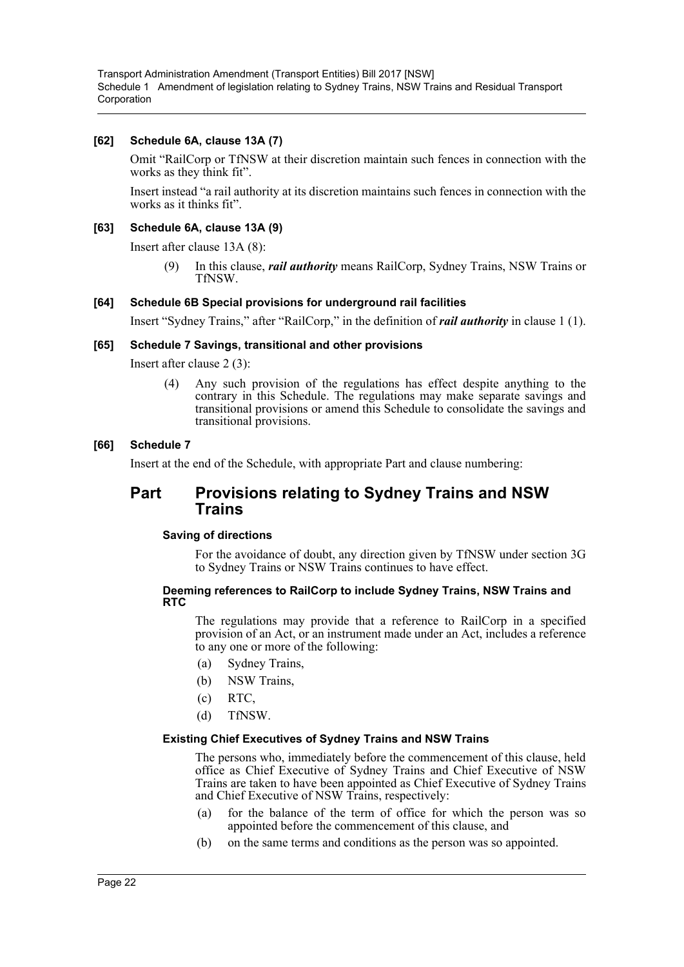### **[62] Schedule 6A, clause 13A (7)**

Omit "RailCorp or TfNSW at their discretion maintain such fences in connection with the works as they think fit".

Insert instead "a rail authority at its discretion maintains such fences in connection with the works as it thinks fit".

### **[63] Schedule 6A, clause 13A (9)**

Insert after clause 13A (8):

(9) In this clause, *rail authority* means RailCorp, Sydney Trains, NSW Trains or TfNSW.

### **[64] Schedule 6B Special provisions for underground rail facilities**

Insert "Sydney Trains," after "RailCorp," in the definition of *rail authority* in clause 1 (1).

### **[65] Schedule 7 Savings, transitional and other provisions**

Insert after clause 2 (3):

(4) Any such provision of the regulations has effect despite anything to the contrary in this Schedule. The regulations may make separate savings and transitional provisions or amend this Schedule to consolidate the savings and transitional provisions.

### **[66] Schedule 7**

Insert at the end of the Schedule, with appropriate Part and clause numbering:

## **Part Provisions relating to Sydney Trains and NSW Trains**

### **Saving of directions**

For the avoidance of doubt, any direction given by TfNSW under section 3G to Sydney Trains or NSW Trains continues to have effect.

### **Deeming references to RailCorp to include Sydney Trains, NSW Trains and RTC**

The regulations may provide that a reference to RailCorp in a specified provision of an Act, or an instrument made under an Act, includes a reference to any one or more of the following:

- (a) Sydney Trains,
- (b) NSW Trains,
- (c) RTC,
- (d) TfNSW.

#### **Existing Chief Executives of Sydney Trains and NSW Trains**

The persons who, immediately before the commencement of this clause, held office as Chief Executive of Sydney Trains and Chief Executive of NSW Trains are taken to have been appointed as Chief Executive of Sydney Trains and Chief Executive of NSW Trains, respectively:

- (a) for the balance of the term of office for which the person was so appointed before the commencement of this clause, and
- (b) on the same terms and conditions as the person was so appointed.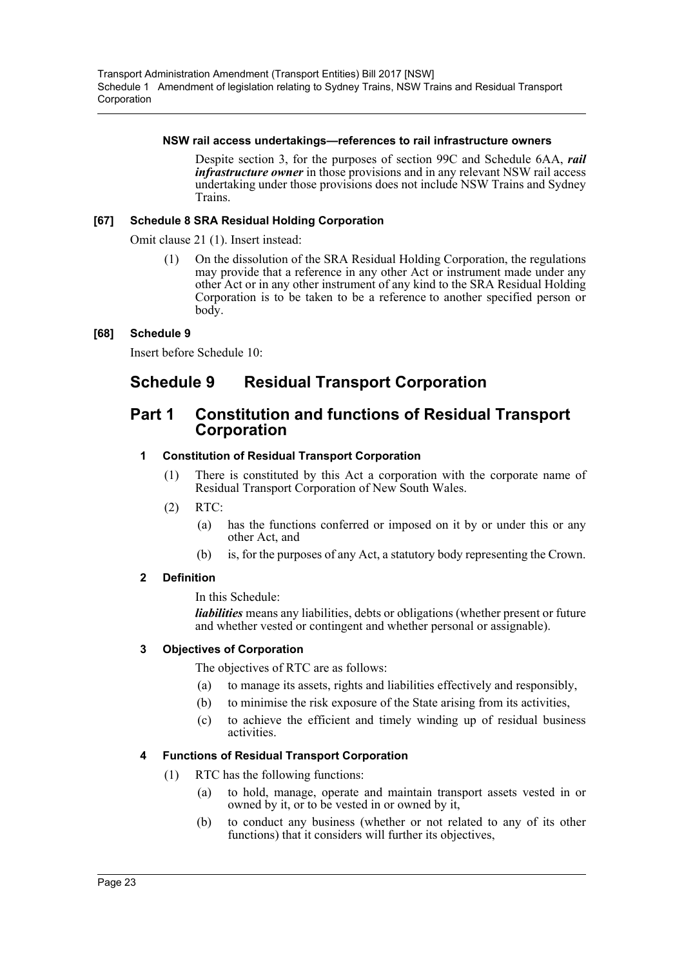### **NSW rail access undertakings—references to rail infrastructure owners**

Despite section 3, for the purposes of section 99C and Schedule 6AA, *rail infrastructure owner* in those provisions and in any relevant NSW rail access undertaking under those provisions does not include NSW Trains and Sydney Trains.

## **[67] Schedule 8 SRA Residual Holding Corporation**

Omit clause 21 (1). Insert instead:

(1) On the dissolution of the SRA Residual Holding Corporation, the regulations may provide that a reference in any other Act or instrument made under any other Act or in any other instrument of any kind to the SRA Residual Holding Corporation is to be taken to be a reference to another specified person or body.

## **[68] Schedule 9**

Insert before Schedule 10:

## **Schedule 9 Residual Transport Corporation**

## **Part 1 Constitution and functions of Residual Transport Corporation**

## **1 Constitution of Residual Transport Corporation**

- (1) There is constituted by this Act a corporation with the corporate name of Residual Transport Corporation of New South Wales.
- (2) RTC:
	- (a) has the functions conferred or imposed on it by or under this or any other Act, and
	- (b) is, for the purposes of any Act, a statutory body representing the Crown.

### **2 Definition**

In this Schedule:

*liabilities* means any liabilities, debts or obligations (whether present or future and whether vested or contingent and whether personal or assignable).

## **3 Objectives of Corporation**

The objectives of RTC are as follows:

- (a) to manage its assets, rights and liabilities effectively and responsibly,
- (b) to minimise the risk exposure of the State arising from its activities,
- (c) to achieve the efficient and timely winding up of residual business activities.

## **4 Functions of Residual Transport Corporation**

- (1) RTC has the following functions:
	- (a) to hold, manage, operate and maintain transport assets vested in or owned by it, or to be vested in or owned by it,
	- (b) to conduct any business (whether or not related to any of its other functions) that it considers will further its objectives,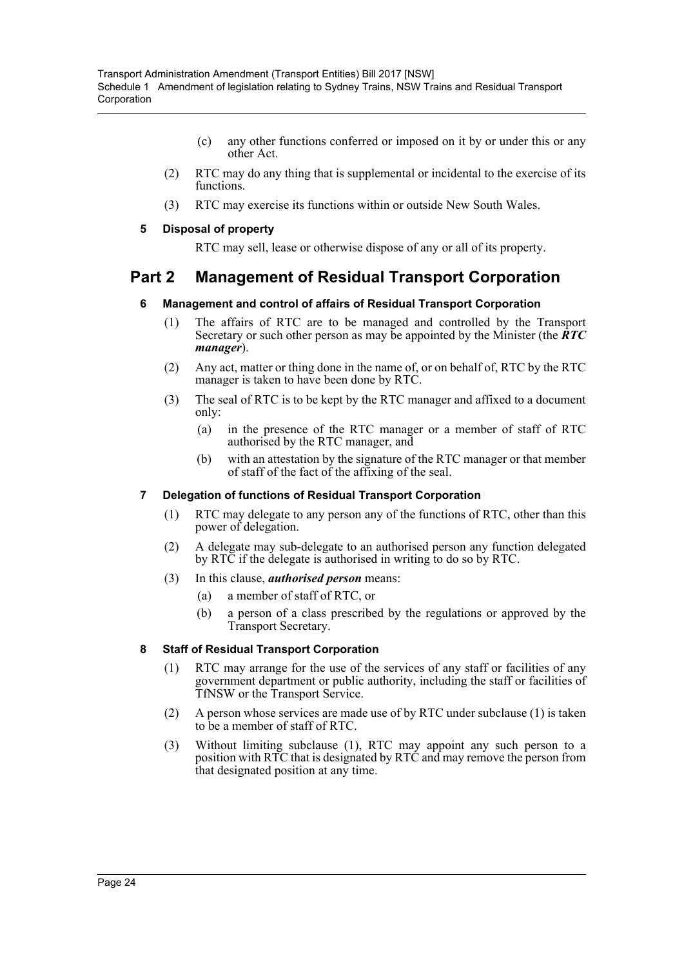- (c) any other functions conferred or imposed on it by or under this or any other Act.
- (2) RTC may do any thing that is supplemental or incidental to the exercise of its functions.
- (3) RTC may exercise its functions within or outside New South Wales.

## **5 Disposal of property**

RTC may sell, lease or otherwise dispose of any or all of its property.

## **Part 2 Management of Residual Transport Corporation**

## **6 Management and control of affairs of Residual Transport Corporation**

- (1) The affairs of RTC are to be managed and controlled by the Transport Secretary or such other person as may be appointed by the Minister (the *RTC manager*).
- (2) Any act, matter or thing done in the name of, or on behalf of, RTC by the RTC manager is taken to have been done by RTC.
- (3) The seal of RTC is to be kept by the RTC manager and affixed to a document only:
	- (a) in the presence of the RTC manager or a member of staff of RTC authorised by the RTC manager, and
	- (b) with an attestation by the signature of the RTC manager or that member of staff of the fact of the affixing of the seal.

## **7 Delegation of functions of Residual Transport Corporation**

- (1) RTC may delegate to any person any of the functions of RTC, other than this power of delegation.
- (2) A delegate may sub-delegate to an authorised person any function delegated by RTC if the delegate is authorised in writing to do so by RTC.
- (3) In this clause, *authorised person* means:
	- (a) a member of staff of RTC, or
	- (b) a person of a class prescribed by the regulations or approved by the Transport Secretary.

## **8 Staff of Residual Transport Corporation**

- (1) RTC may arrange for the use of the services of any staff or facilities of any government department or public authority, including the staff or facilities of TfNSW or the Transport Service.
- (2) A person whose services are made use of by RTC under subclause (1) is taken to be a member of staff of RTC.
- (3) Without limiting subclause (1), RTC may appoint any such person to a position with RTC that is designated by RTC and may remove the person from that designated position at any time.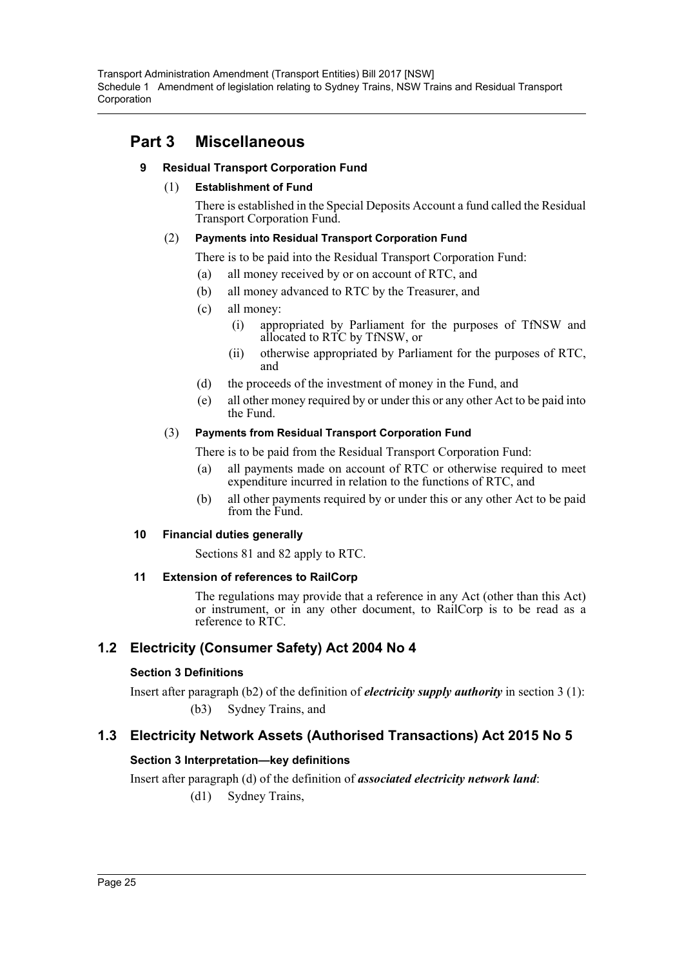## **Part 3 Miscellaneous**

## **9 Residual Transport Corporation Fund**

## (1) **Establishment of Fund**

There is established in the Special Deposits Account a fund called the Residual Transport Corporation Fund.

## (2) **Payments into Residual Transport Corporation Fund**

There is to be paid into the Residual Transport Corporation Fund:

- (a) all money received by or on account of RTC, and
- (b) all money advanced to RTC by the Treasurer, and
- (c) all money:
	- (i) appropriated by Parliament for the purposes of TfNSW and allocated to RTC by TfNSW, or
	- (ii) otherwise appropriated by Parliament for the purposes of RTC, and
- (d) the proceeds of the investment of money in the Fund, and
- (e) all other money required by or under this or any other Act to be paid into the Fund.

## (3) **Payments from Residual Transport Corporation Fund**

There is to be paid from the Residual Transport Corporation Fund:

- (a) all payments made on account of RTC or otherwise required to meet expenditure incurred in relation to the functions of RTC, and
- (b) all other payments required by or under this or any other Act to be paid from the Fund.

## **10 Financial duties generally**

Sections 81 and 82 apply to RTC.

## **11 Extension of references to RailCorp**

The regulations may provide that a reference in any Act (other than this Act) or instrument, or in any other document, to RailCorp is to be read as a reference to RTC.

## **1.2 Electricity (Consumer Safety) Act 2004 No 4**

## **Section 3 Definitions**

Insert after paragraph (b2) of the definition of *electricity supply authority* in section 3 (1): (b3) Sydney Trains, and

## **1.3 Electricity Network Assets (Authorised Transactions) Act 2015 No 5**

## **Section 3 Interpretation—key definitions**

Insert after paragraph (d) of the definition of *associated electricity network land*: (d1) Sydney Trains,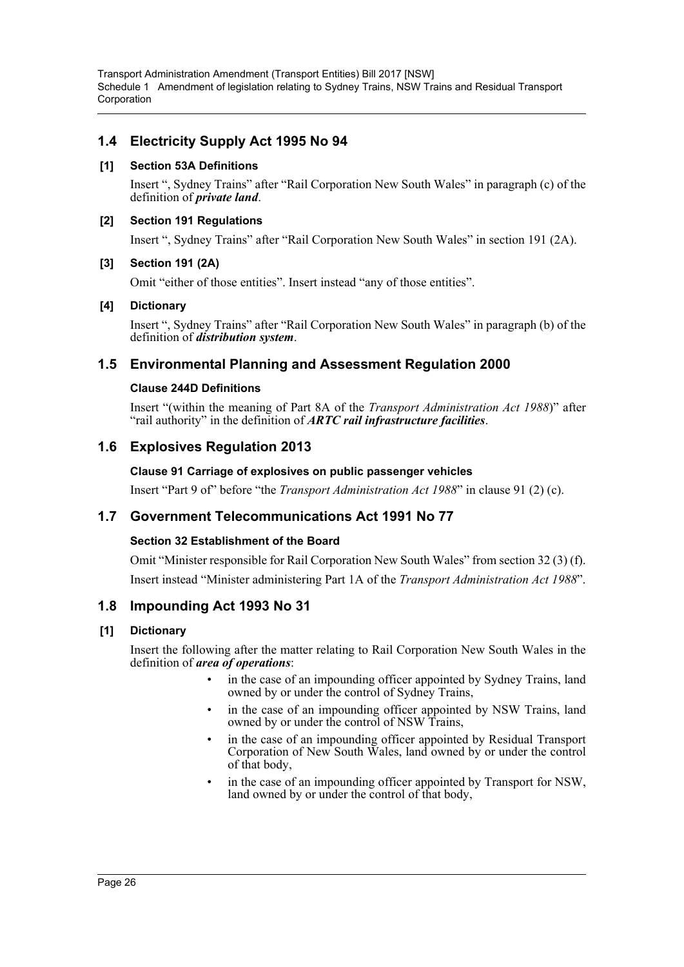## **1.4 Electricity Supply Act 1995 No 94**

## **[1] Section 53A Definitions**

Insert ", Sydney Trains" after "Rail Corporation New South Wales" in paragraph (c) of the definition of *private land*.

### **[2] Section 191 Regulations**

Insert ", Sydney Trains" after "Rail Corporation New South Wales" in section 191 (2A).

## **[3] Section 191 (2A)**

Omit "either of those entities". Insert instead "any of those entities".

## **[4] Dictionary**

Insert ", Sydney Trains" after "Rail Corporation New South Wales" in paragraph (b) of the definition of *distribution system*.

## **1.5 Environmental Planning and Assessment Regulation 2000**

## **Clause 244D Definitions**

Insert "(within the meaning of Part 8A of the *Transport Administration Act 1988*)" after "rail authority" in the definition of *ARTC rail infrastructure facilities*.

## **1.6 Explosives Regulation 2013**

## **Clause 91 Carriage of explosives on public passenger vehicles**

Insert "Part 9 of" before "the *Transport Administration Act 1988*" in clause 91 (2) (c).

## **1.7 Government Telecommunications Act 1991 No 77**

## **Section 32 Establishment of the Board**

Omit "Minister responsible for Rail Corporation New South Wales" from section 32 (3) (f). Insert instead "Minister administering Part 1A of the *Transport Administration Act 1988*".

## **1.8 Impounding Act 1993 No 31**

## **[1] Dictionary**

Insert the following after the matter relating to Rail Corporation New South Wales in the definition of *area of operations*:

- in the case of an impounding officer appointed by Sydney Trains, land owned by or under the control of Sydney Trains,
- in the case of an impounding officer appointed by NSW Trains, land owned by or under the control of NSW Trains,
- in the case of an impounding officer appointed by Residual Transport Corporation of New South Wales, land owned by or under the control of that body,
- in the case of an impounding officer appointed by Transport for NSW, land owned by or under the control of that body,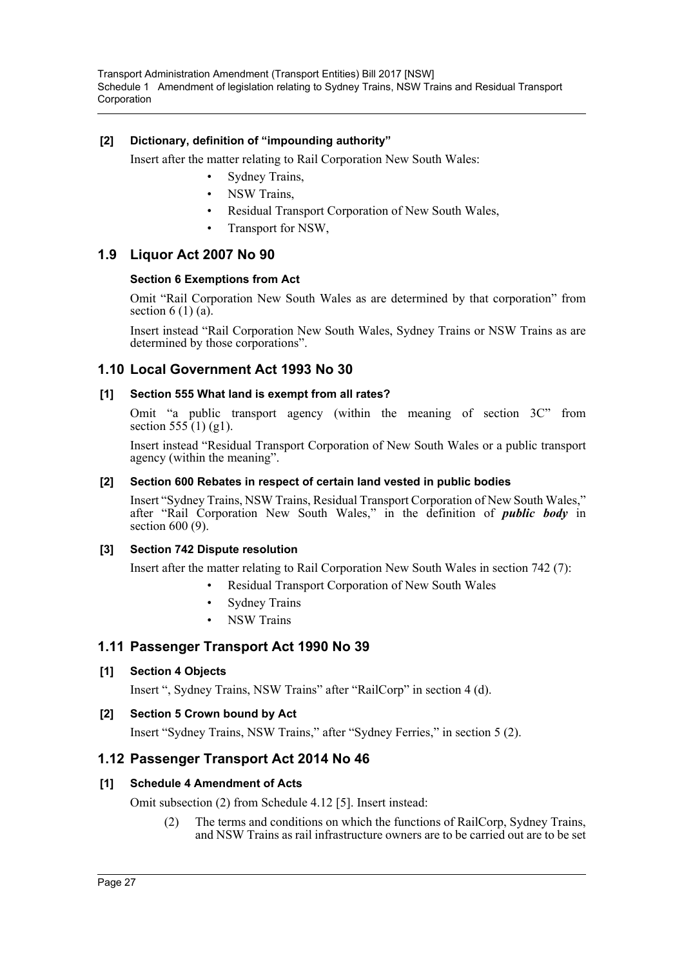## **[2] Dictionary, definition of "impounding authority"**

Insert after the matter relating to Rail Corporation New South Wales:

- Sydney Trains,
- NSW Trains,
- Residual Transport Corporation of New South Wales,
- Transport for NSW,

## **1.9 Liquor Act 2007 No 90**

### **Section 6 Exemptions from Act**

Omit "Rail Corporation New South Wales as are determined by that corporation" from section  $6(1)$  (a).

Insert instead "Rail Corporation New South Wales, Sydney Trains or NSW Trains as are determined by those corporations".

## **1.10 Local Government Act 1993 No 30**

### **[1] Section 555 What land is exempt from all rates?**

Omit "a public transport agency (within the meaning of section 3C" from section  $555(1)$  (g1).

Insert instead "Residual Transport Corporation of New South Wales or a public transport agency (within the meaning".

### **[2] Section 600 Rebates in respect of certain land vested in public bodies**

Insert "Sydney Trains, NSW Trains, Residual Transport Corporation of New South Wales," after "Rail Corporation New South Wales," in the definition of *public body* in section 600 (9).

### **[3] Section 742 Dispute resolution**

Insert after the matter relating to Rail Corporation New South Wales in section 742 (7):

- Residual Transport Corporation of New South Wales
- Sydney Trains
- **NSW Trains**

## **1.11 Passenger Transport Act 1990 No 39**

### **[1] Section 4 Objects**

Insert ", Sydney Trains, NSW Trains" after "RailCorp" in section 4 (d).

### **[2] Section 5 Crown bound by Act**

Insert "Sydney Trains, NSW Trains," after "Sydney Ferries," in section 5 (2).

## **1.12 Passenger Transport Act 2014 No 46**

## **[1] Schedule 4 Amendment of Acts**

Omit subsection (2) from Schedule 4.12 [5]. Insert instead:

(2) The terms and conditions on which the functions of RailCorp, Sydney Trains, and NSW Trains as rail infrastructure owners are to be carried out are to be set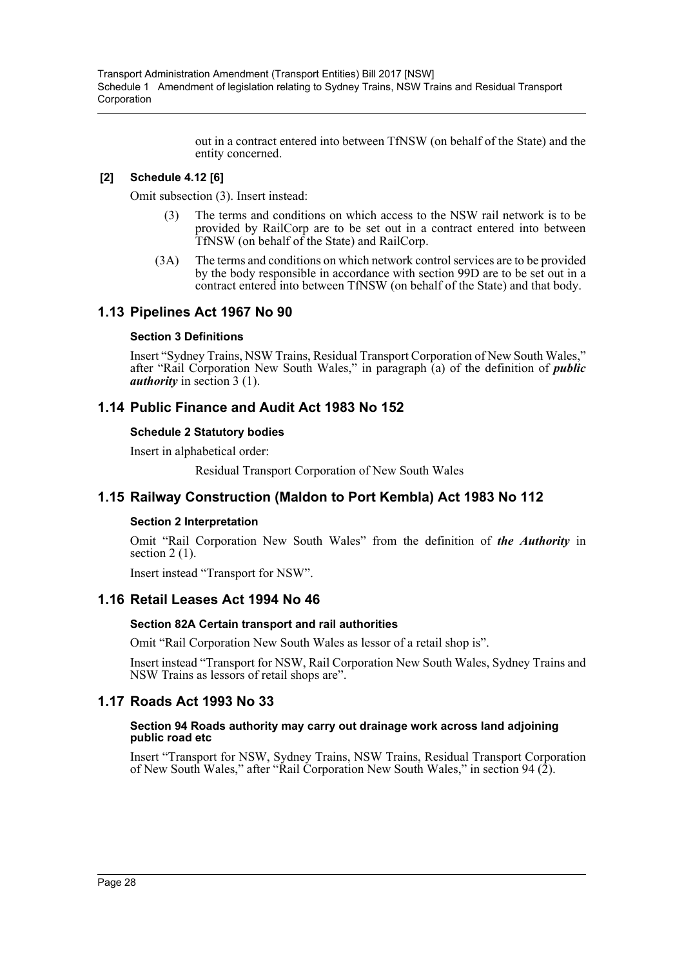out in a contract entered into between TfNSW (on behalf of the State) and the entity concerned.

## **[2] Schedule 4.12 [6]**

Omit subsection (3). Insert instead:

- The terms and conditions on which access to the NSW rail network is to be provided by RailCorp are to be set out in a contract entered into between TfNSW (on behalf of the State) and RailCorp.
- (3A) The terms and conditions on which network control services are to be provided by the body responsible in accordance with section 99D are to be set out in a contract entered into between TfNSW (on behalf of the State) and that body.

## **1.13 Pipelines Act 1967 No 90**

## **Section 3 Definitions**

Insert "Sydney Trains, NSW Trains, Residual Transport Corporation of New South Wales," after "Rail Corporation New South Wales," in paragraph (a) of the definition of *public authority* in section 3 (1).

## **1.14 Public Finance and Audit Act 1983 No 152**

## **Schedule 2 Statutory bodies**

Insert in alphabetical order:

Residual Transport Corporation of New South Wales

## **1.15 Railway Construction (Maldon to Port Kembla) Act 1983 No 112**

## **Section 2 Interpretation**

Omit "Rail Corporation New South Wales" from the definition of *the Authority* in section 2 (1).

Insert instead "Transport for NSW".

## **1.16 Retail Leases Act 1994 No 46**

## **Section 82A Certain transport and rail authorities**

Omit "Rail Corporation New South Wales as lessor of a retail shop is".

Insert instead "Transport for NSW, Rail Corporation New South Wales, Sydney Trains and NSW Trains as lessors of retail shops are".

## **1.17 Roads Act 1993 No 33**

### **Section 94 Roads authority may carry out drainage work across land adjoining public road etc**

Insert "Transport for NSW, Sydney Trains, NSW Trains, Residual Transport Corporation of New South Wales," after "Rail Corporation New South Wales," in section 94 (2).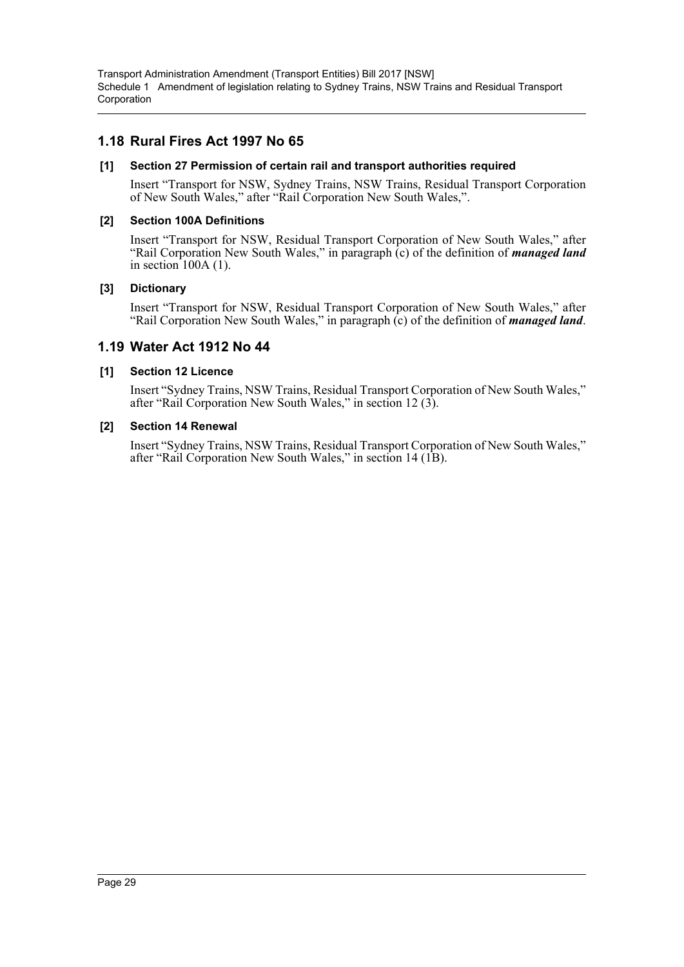## **1.18 Rural Fires Act 1997 No 65**

### **[1] Section 27 Permission of certain rail and transport authorities required**

Insert "Transport for NSW, Sydney Trains, NSW Trains, Residual Transport Corporation of New South Wales," after "Rail Corporation New South Wales,".

## **[2] Section 100A Definitions**

Insert "Transport for NSW, Residual Transport Corporation of New South Wales," after "Rail Corporation New South Wales," in paragraph (c) of the definition of *managed land* in section  $100A(1)$ .

## **[3] Dictionary**

Insert "Transport for NSW, Residual Transport Corporation of New South Wales," after "Rail Corporation New South Wales," in paragraph (c) of the definition of *managed land*.

## **1.19 Water Act 1912 No 44**

## **[1] Section 12 Licence**

Insert "Sydney Trains, NSW Trains, Residual Transport Corporation of New South Wales," after "Rail Corporation New South Wales," in section 12 (3).

### **[2] Section 14 Renewal**

Insert "Sydney Trains, NSW Trains, Residual Transport Corporation of New South Wales," after "Rail Corporation New South Wales," in section 14 (1B).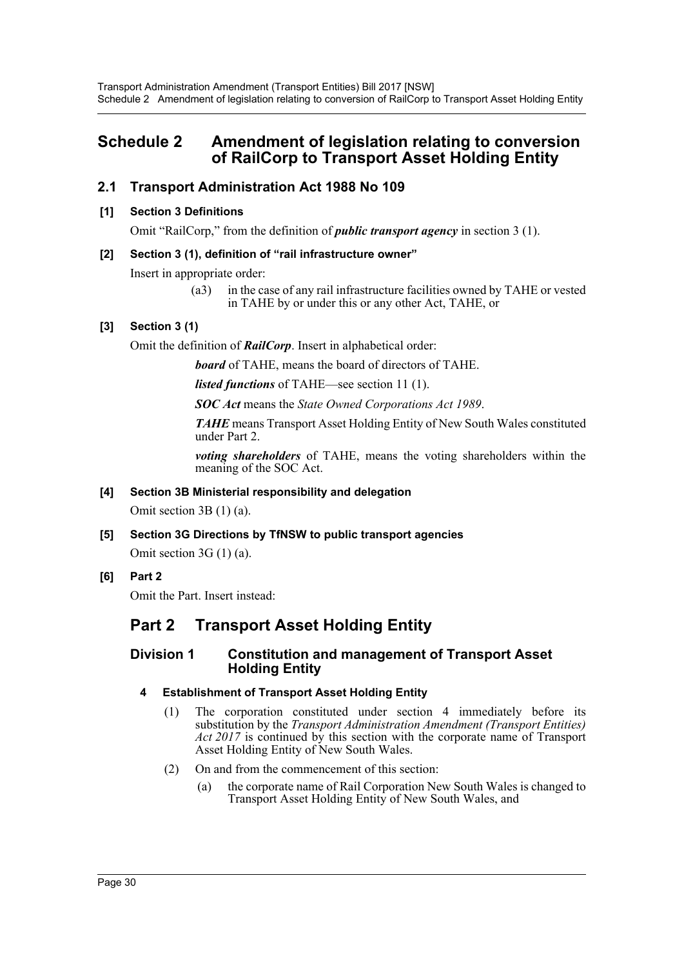## <span id="page-30-0"></span>**Schedule 2 Amendment of legislation relating to conversion of RailCorp to Transport Asset Holding Entity**

## **2.1 Transport Administration Act 1988 No 109**

## **[1] Section 3 Definitions**

Omit "RailCorp," from the definition of *public transport agency* in section 3 (1).

## **[2] Section 3 (1), definition of "rail infrastructure owner"**

Insert in appropriate order:

(a3) in the case of any rail infrastructure facilities owned by TAHE or vested in TAHE by or under this or any other Act, TAHE, or

## **[3] Section 3 (1)**

Omit the definition of *RailCorp*. Insert in alphabetical order:

*board* of TAHE, means the board of directors of TAHE.

*listed functions* of TAHE—see section 11 (1).

*SOC Act* means the *State Owned Corporations Act 1989*.

*TAHE* means Transport Asset Holding Entity of New South Wales constituted under Part 2.

*voting shareholders* of TAHE, means the voting shareholders within the meaning of the SOC Act.

## **[4] Section 3B Ministerial responsibility and delegation**

Omit section 3B (1) (a).

**[5] Section 3G Directions by TfNSW to public transport agencies**

Omit section 3G (1) (a).

**[6] Part 2**

Omit the Part. Insert instead:

## **Part 2 Transport Asset Holding Entity**

## **Division 1 Constitution and management of Transport Asset Holding Entity**

## **4 Establishment of Transport Asset Holding Entity**

- (1) The corporation constituted under section 4 immediately before its substitution by the *Transport Administration Amendment (Transport Entities) Act 2017* is continued by this section with the corporate name of Transport Asset Holding Entity of New South Wales.
- (2) On and from the commencement of this section:
	- (a) the corporate name of Rail Corporation New South Wales is changed to Transport Asset Holding Entity of New South Wales, and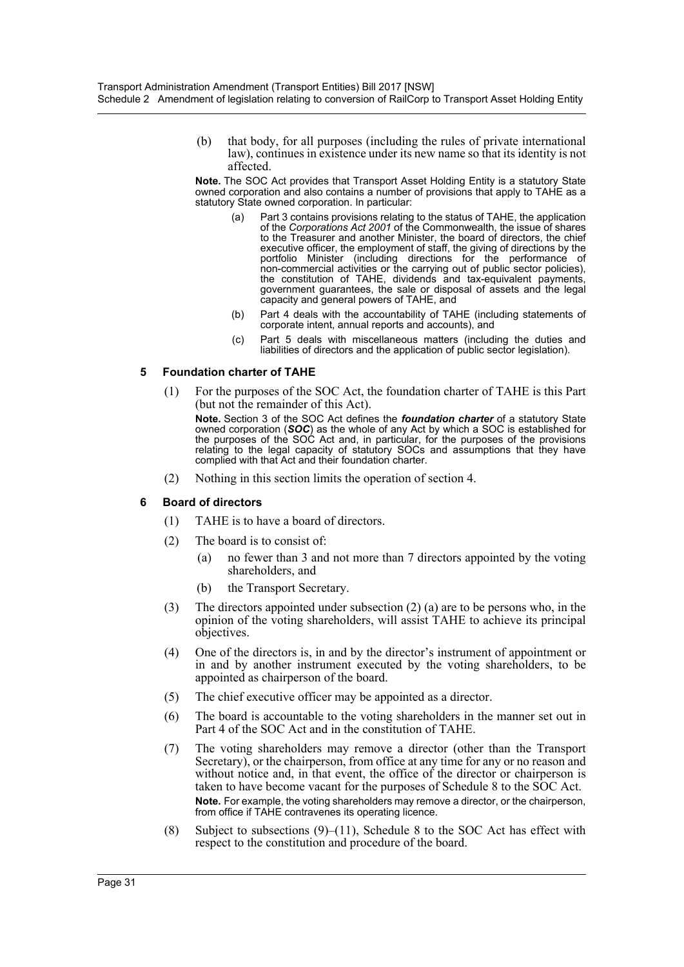(b) that body, for all purposes (including the rules of private international law), continues in existence under its new name so that its identity is not affected.

**Note.** The SOC Act provides that Transport Asset Holding Entity is a statutory State owned corporation and also contains a number of provisions that apply to TAHE as a statutory State owned corporation. In particular:

- (a) Part 3 contains provisions relating to the status of TAHE, the application of the *Corporations Act 2001* of the Commonwealth, the issue of shares to the Treasurer and another Minister, the board of directors, the chief executive officer, the employment of staff, the giving of directions by the portfolio Minister (including directions for the performance of non-commercial activities or the carrying out of public sector policies), the constitution of TAHE, dividends and tax-equivalent payments, government guarantees, the sale or disposal of assets and the legal capacity and general powers of TAHE, and
- (b) Part 4 deals with the accountability of TAHE (including statements of corporate intent, annual reports and accounts), and
- (c) Part 5 deals with miscellaneous matters (including the duties and liabilities of directors and the application of public sector legislation).

### **5 Foundation charter of TAHE**

(1) For the purposes of the SOC Act, the foundation charter of TAHE is this Part (but not the remainder of this Act).

**Note.** Section 3 of the SOC Act defines the *foundation charter* of a statutory State owned corporation (*SOC*) as the whole of any Act by which a SOC is established for the purposes of the SOC Act and, in particular, for the purposes of the provisions relating to the legal capacity of statutory SOCs and assumptions that they have complied with that Act and their foundation charter.

(2) Nothing in this section limits the operation of section 4.

### **6 Board of directors**

- (1) TAHE is to have a board of directors.
- (2) The board is to consist of:
	- (a) no fewer than 3 and not more than 7 directors appointed by the voting shareholders, and
	- (b) the Transport Secretary.
- (3) The directors appointed under subsection (2) (a) are to be persons who, in the opinion of the voting shareholders, will assist TAHE to achieve its principal objectives.
- (4) One of the directors is, in and by the director's instrument of appointment or in and by another instrument executed by the voting shareholders, to be appointed as chairperson of the board.
- (5) The chief executive officer may be appointed as a director.
- (6) The board is accountable to the voting shareholders in the manner set out in Part 4 of the SOC Act and in the constitution of TAHE.
- (7) The voting shareholders may remove a director (other than the Transport Secretary), or the chairperson, from office at any time for any or no reason and without notice and, in that event, the office of the director or chairperson is taken to have become vacant for the purposes of Schedule 8 to the SOC Act. **Note.** For example, the voting shareholders may remove a director, or the chairperson, from office if TAHE contravenes its operating licence.
- (8) Subject to subsections  $(9)$ – $(11)$ , Schedule 8 to the SOC Act has effect with respect to the constitution and procedure of the board.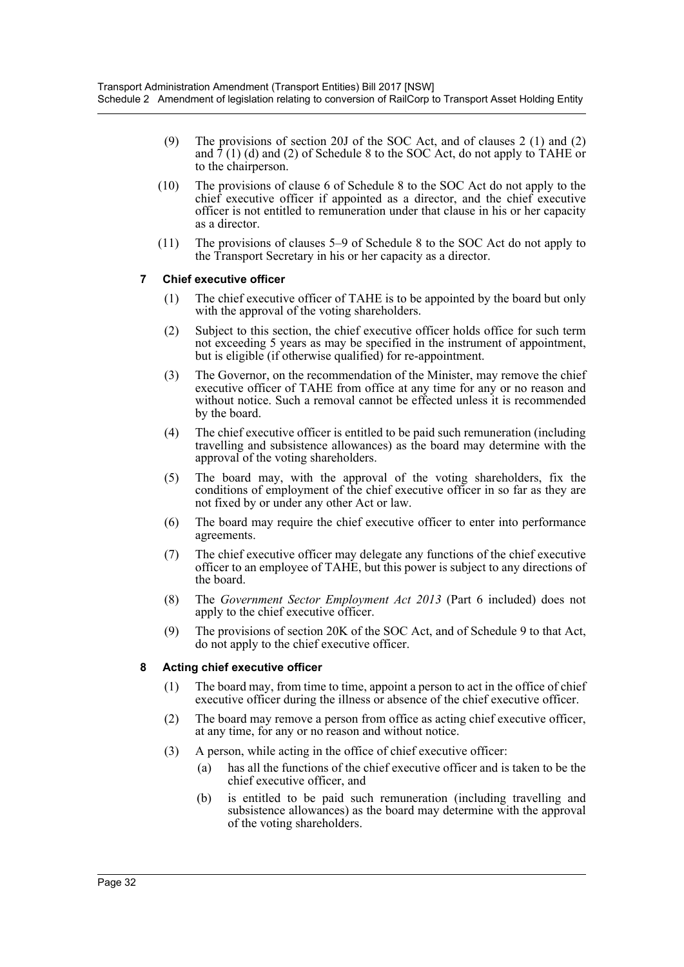- (9) The provisions of section 20J of the SOC Act, and of clauses 2 (1) and (2) and  $\overline{7}$  (1) (d) and (2) of Schedule 8 to the SOC Act, do not apply to TAHE or to the chairperson.
- (10) The provisions of clause 6 of Schedule 8 to the SOC Act do not apply to the chief executive officer if appointed as a director, and the chief executive officer is not entitled to remuneration under that clause in his or her capacity as a director.
- (11) The provisions of clauses 5–9 of Schedule 8 to the SOC Act do not apply to the Transport Secretary in his or her capacity as a director.

## **7 Chief executive officer**

- (1) The chief executive officer of TAHE is to be appointed by the board but only with the approval of the voting shareholders.
- (2) Subject to this section, the chief executive officer holds office for such term not exceeding 5 years as may be specified in the instrument of appointment, but is eligible (if otherwise qualified) for re-appointment.
- (3) The Governor, on the recommendation of the Minister, may remove the chief executive officer of TAHE from office at any time for any or no reason and without notice. Such a removal cannot be effected unless it is recommended by the board.
- (4) The chief executive officer is entitled to be paid such remuneration (including travelling and subsistence allowances) as the board may determine with the approval of the voting shareholders.
- (5) The board may, with the approval of the voting shareholders, fix the conditions of employment of the chief executive officer in so far as they are not fixed by or under any other Act or law.
- (6) The board may require the chief executive officer to enter into performance agreements.
- (7) The chief executive officer may delegate any functions of the chief executive officer to an employee of TAHE, but this power is subject to any directions of the board.
- (8) The *Government Sector Employment Act 2013* (Part 6 included) does not apply to the chief executive officer.
- (9) The provisions of section 20K of the SOC Act, and of Schedule 9 to that Act, do not apply to the chief executive officer.

### **8 Acting chief executive officer**

- (1) The board may, from time to time, appoint a person to act in the office of chief executive officer during the illness or absence of the chief executive officer.
- (2) The board may remove a person from office as acting chief executive officer, at any time, for any or no reason and without notice.
- (3) A person, while acting in the office of chief executive officer:
	- (a) has all the functions of the chief executive officer and is taken to be the chief executive officer, and
	- (b) is entitled to be paid such remuneration (including travelling and subsistence allowances) as the board may determine with the approval of the voting shareholders.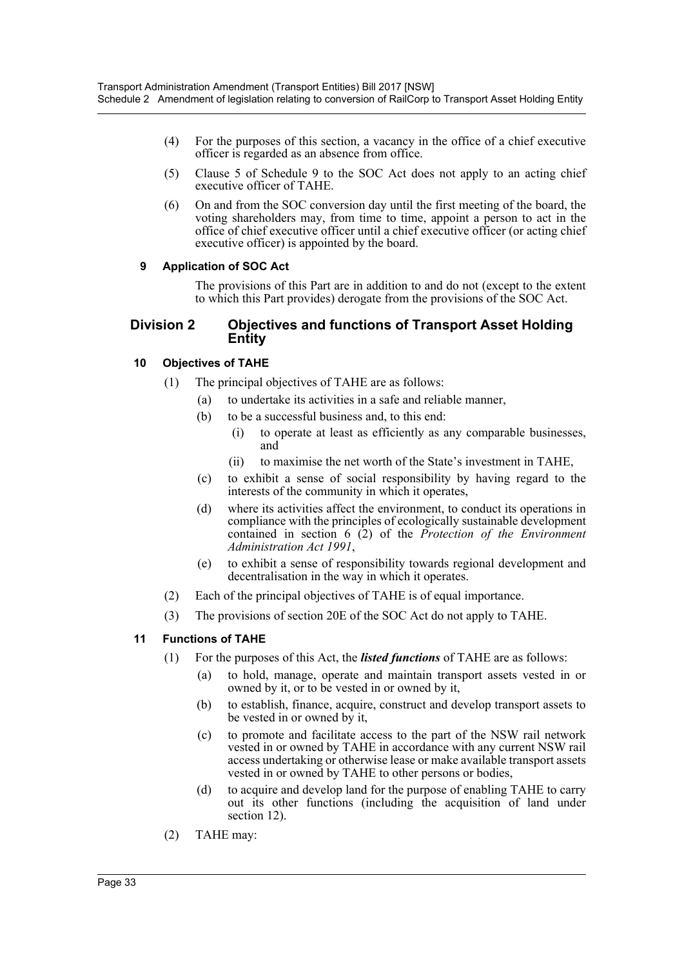- (4) For the purposes of this section, a vacancy in the office of a chief executive officer is regarded as an absence from office.
- (5) Clause 5 of Schedule 9 to the SOC Act does not apply to an acting chief executive officer of TAHE.
- (6) On and from the SOC conversion day until the first meeting of the board, the voting shareholders may, from time to time, appoint a person to act in the office of chief executive officer until a chief executive officer (or acting chief executive officer) is appointed by the board.

## **9 Application of SOC Act**

The provisions of this Part are in addition to and do not (except to the extent to which this Part provides) derogate from the provisions of the SOC Act.

## **Division 2 Objectives and functions of Transport Asset Holding Entity**

## **10 Objectives of TAHE**

- (1) The principal objectives of TAHE are as follows:
	- (a) to undertake its activities in a safe and reliable manner,
		- (b) to be a successful business and, to this end:
			- (i) to operate at least as efficiently as any comparable businesses, and
			- (ii) to maximise the net worth of the State's investment in TAHE,
		- (c) to exhibit a sense of social responsibility by having regard to the interests of the community in which it operates,
		- (d) where its activities affect the environment, to conduct its operations in compliance with the principles of ecologically sustainable development contained in section 6 (2) of the *Protection of the Environment Administration Act 1991*,
		- (e) to exhibit a sense of responsibility towards regional development and decentralisation in the way in which it operates.
- (2) Each of the principal objectives of TAHE is of equal importance.
- (3) The provisions of section 20E of the SOC Act do not apply to TAHE.

### **11 Functions of TAHE**

- (1) For the purposes of this Act, the *listed functions* of TAHE are as follows:
	- (a) to hold, manage, operate and maintain transport assets vested in or owned by it, or to be vested in or owned by it,
	- (b) to establish, finance, acquire, construct and develop transport assets to be vested in or owned by it,
	- (c) to promote and facilitate access to the part of the NSW rail network vested in or owned by TAHE in accordance with any current NSW rail access undertaking or otherwise lease or make available transport assets vested in or owned by TAHE to other persons or bodies,
	- (d) to acquire and develop land for the purpose of enabling TAHE to carry out its other functions (including the acquisition of land under section 12).
- (2) TAHE may: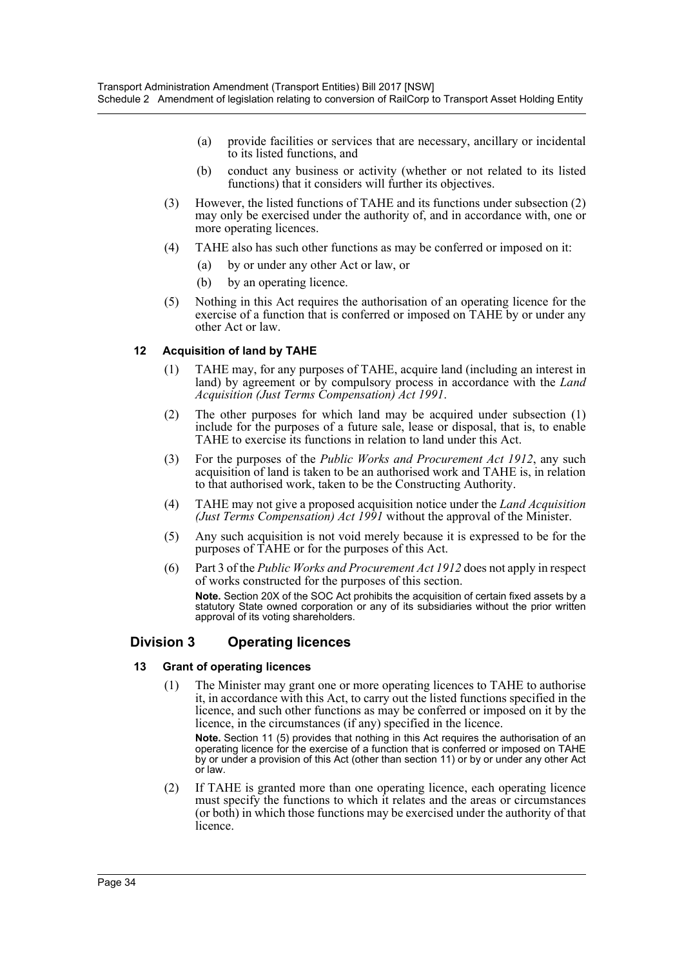- (a) provide facilities or services that are necessary, ancillary or incidental to its listed functions, and
- (b) conduct any business or activity (whether or not related to its listed functions) that it considers will further its objectives.
- (3) However, the listed functions of TAHE and its functions under subsection (2) may only be exercised under the authority of, and in accordance with, one or more operating licences.
- (4) TAHE also has such other functions as may be conferred or imposed on it:
	- (a) by or under any other Act or law, or
	- (b) by an operating licence.
- (5) Nothing in this Act requires the authorisation of an operating licence for the exercise of a function that is conferred or imposed on TAHE by or under any other Act or law.

## **12 Acquisition of land by TAHE**

- (1) TAHE may, for any purposes of TAHE, acquire land (including an interest in land) by agreement or by compulsory process in accordance with the *Land Acquisition (Just Terms Compensation) Act 1991*.
- (2) The other purposes for which land may be acquired under subsection (1) include for the purposes of a future sale, lease or disposal, that is, to enable TAHE to exercise its functions in relation to land under this Act.
- (3) For the purposes of the *Public Works and Procurement Act 1912*, any such acquisition of land is taken to be an authorised work and TAHE is, in relation to that authorised work, taken to be the Constructing Authority.
- (4) TAHE may not give a proposed acquisition notice under the *Land Acquisition (Just Terms Compensation) Act 1991* without the approval of the Minister.
- (5) Any such acquisition is not void merely because it is expressed to be for the purposes of TAHE or for the purposes of this Act.
- (6) Part 3 of the *Public Works and Procurement Act 1912* does not apply in respect of works constructed for the purposes of this section. **Note.** Section 20X of the SOC Act prohibits the acquisition of certain fixed assets by a

statutory State owned corporation or any of its subsidiaries without the prior written approval of its voting shareholders.

## **Division 3 Operating licences**

### **13 Grant of operating licences**

(1) The Minister may grant one or more operating licences to TAHE to authorise it, in accordance with this Act, to carry out the listed functions specified in the licence, and such other functions as may be conferred or imposed on it by the licence, in the circumstances (if any) specified in the licence.

**Note.** Section 11 (5) provides that nothing in this Act requires the authorisation of an operating licence for the exercise of a function that is conferred or imposed on TAHE by or under a provision of this Act (other than section 11) or by or under any other Act or law.

(2) If TAHE is granted more than one operating licence, each operating licence must specify the functions to which it relates and the areas or circumstances (or both) in which those functions may be exercised under the authority of that licence.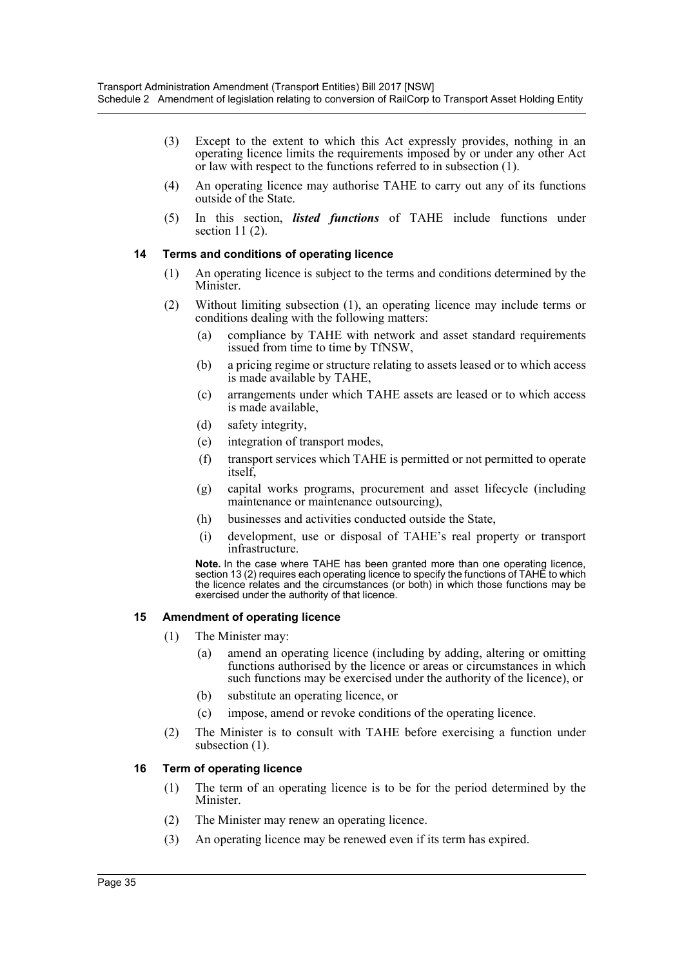- (3) Except to the extent to which this Act expressly provides, nothing in an operating licence limits the requirements imposed by or under any other Act or law with respect to the functions referred to in subsection (1).
- (4) An operating licence may authorise TAHE to carry out any of its functions outside of the State.
- (5) In this section, *listed functions* of TAHE include functions under section  $11(2)$ .

### **14 Terms and conditions of operating licence**

- (1) An operating licence is subject to the terms and conditions determined by the Minister.
- (2) Without limiting subsection (1), an operating licence may include terms or conditions dealing with the following matters:
	- (a) compliance by TAHE with network and asset standard requirements issued from time to time by TfNSW,
	- (b) a pricing regime or structure relating to assets leased or to which access is made available by TAHE,
	- (c) arrangements under which TAHE assets are leased or to which access is made available,
	- (d) safety integrity,
	- (e) integration of transport modes,
	- (f) transport services which TAHE is permitted or not permitted to operate itself,
	- (g) capital works programs, procurement and asset lifecycle (including maintenance or maintenance outsourcing),
	- (h) businesses and activities conducted outside the State,
	- (i) development, use or disposal of TAHE's real property or transport infrastructure.

**Note.** In the case where TAHE has been granted more than one operating licence, section 13 (2) requires each operating licence to specify the functions of TAHE to which the licence relates and the circumstances (or both) in which those functions may be exercised under the authority of that licence.

#### **15 Amendment of operating licence**

- (1) The Minister may:
	- (a) amend an operating licence (including by adding, altering or omitting functions authorised by the licence or areas or circumstances in which such functions may be exercised under the authority of the licence), or
	- (b) substitute an operating licence, or
	- (c) impose, amend or revoke conditions of the operating licence.
- (2) The Minister is to consult with TAHE before exercising a function under subsection (1).

#### **16 Term of operating licence**

- (1) The term of an operating licence is to be for the period determined by the Minister.
- (2) The Minister may renew an operating licence.
- (3) An operating licence may be renewed even if its term has expired.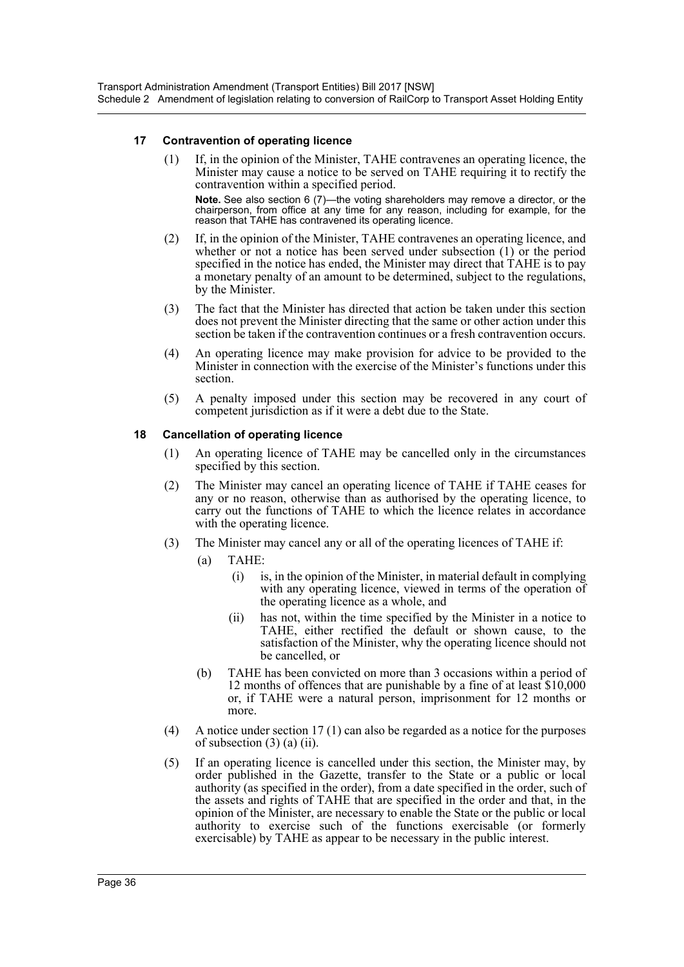### **17 Contravention of operating licence**

- (1) If, in the opinion of the Minister, TAHE contravenes an operating licence, the Minister may cause a notice to be served on TAHE requiring it to rectify the contravention within a specified period. **Note.** See also section 6 (7)—the voting shareholders may remove a director, or the chairperson, from office at any time for any reason, including for example, for the reason that TAHE has contravened its operating licence.
- (2) If, in the opinion of the Minister, TAHE contravenes an operating licence, and whether or not a notice has been served under subsection (1) or the period specified in the notice has ended, the Minister may direct that TAHE is to pay a monetary penalty of an amount to be determined, subject to the regulations, by the Minister.
- (3) The fact that the Minister has directed that action be taken under this section does not prevent the Minister directing that the same or other action under this section be taken if the contravention continues or a fresh contravention occurs.
- (4) An operating licence may make provision for advice to be provided to the Minister in connection with the exercise of the Minister's functions under this section.
- (5) A penalty imposed under this section may be recovered in any court of competent jurisdiction as if it were a debt due to the State.

## **18 Cancellation of operating licence**

- (1) An operating licence of TAHE may be cancelled only in the circumstances specified by this section.
- (2) The Minister may cancel an operating licence of TAHE if TAHE ceases for any or no reason, otherwise than as authorised by the operating licence, to carry out the functions of TAHE to which the licence relates in accordance with the operating licence.
- (3) The Minister may cancel any or all of the operating licences of TAHE if:
	- (a) TAHE:
		- (i) is, in the opinion of the Minister, in material default in complying with any operating licence, viewed in terms of the operation of the operating licence as a whole, and
		- (ii) has not, within the time specified by the Minister in a notice to TAHE, either rectified the default or shown cause, to the satisfaction of the Minister, why the operating licence should not be cancelled, or
	- (b) TAHE has been convicted on more than 3 occasions within a period of 12 months of offences that are punishable by a fine of at least \$10,000 or, if TAHE were a natural person, imprisonment for 12 months or more.
- (4) A notice under section 17 (1) can also be regarded as a notice for the purposes of subsection  $(3)$   $(a)$   $(ii)$ .
- (5) If an operating licence is cancelled under this section, the Minister may, by order published in the Gazette, transfer to the State or a public or local authority (as specified in the order), from a date specified in the order, such of the assets and rights of TAHE that are specified in the order and that, in the opinion of the Minister, are necessary to enable the State or the public or local authority to exercise such of the functions exercisable (or formerly exercisable) by TAHE as appear to be necessary in the public interest.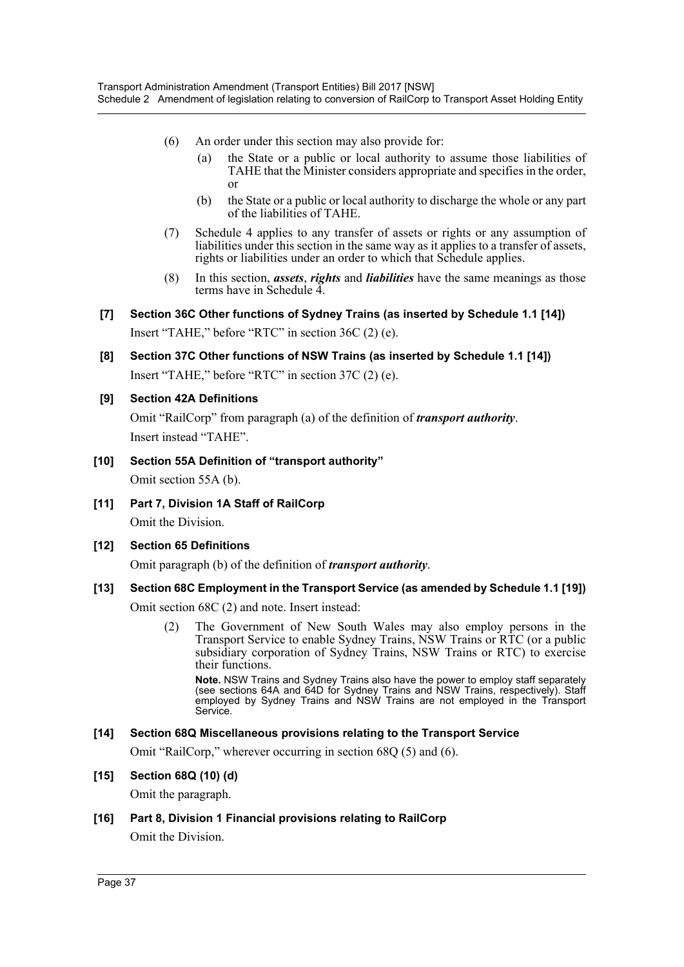- (6) An order under this section may also provide for:
	- (a) the State or a public or local authority to assume those liabilities of TAHE that the Minister considers appropriate and specifies in the order, or
	- (b) the State or a public or local authority to discharge the whole or any part of the liabilities of TAHE.
- (7) Schedule 4 applies to any transfer of assets or rights or any assumption of liabilities under this section in the same way as it applies to a transfer of assets, rights or liabilities under an order to which that Schedule applies.
- (8) In this section, *assets*, *rights* and *liabilities* have the same meanings as those terms have in Schedule 4.
- **[7] Section 36C Other functions of Sydney Trains (as inserted by Schedule 1.1 [14])** Insert "TAHE," before "RTC" in section 36C (2) (e).
- **[8] Section 37C Other functions of NSW Trains (as inserted by Schedule 1.1 [14])** Insert "TAHE," before "RTC" in section 37C (2) (e).
- **[9] Section 42A Definitions**

Omit "RailCorp" from paragraph (a) of the definition of *transport authority*. Insert instead "TAHE".

- **[10] Section 55A Definition of "transport authority"** Omit section 55A (b).
- **[11] Part 7, Division 1A Staff of RailCorp** Omit the Division.

## **[12] Section 65 Definitions**

Omit paragraph (b) of the definition of *transport authority*.

## **[13] Section 68C Employment in the Transport Service (as amended by Schedule 1.1 [19])**

Omit section 68C (2) and note. Insert instead:

(2) The Government of New South Wales may also employ persons in the Transport Service to enable Sydney Trains, NSW Trains or RTC (or a public subsidiary corporation of Sydney Trains, NSW Trains or RTC) to exercise their functions.

**Note.** NSW Trains and Sydney Trains also have the power to employ staff separately (see sections 64A and 64D for Sydney Trains and NSW Trains, respectively). Staff employed by Sydney Trains and NSW Trains are not employed in the Transport Service.

## **[14] Section 68Q Miscellaneous provisions relating to the Transport Service**

Omit "RailCorp," wherever occurring in section 68Q (5) and (6).

### **[15] Section 68Q (10) (d)**

Omit the paragraph.

**[16] Part 8, Division 1 Financial provisions relating to RailCorp** Omit the Division.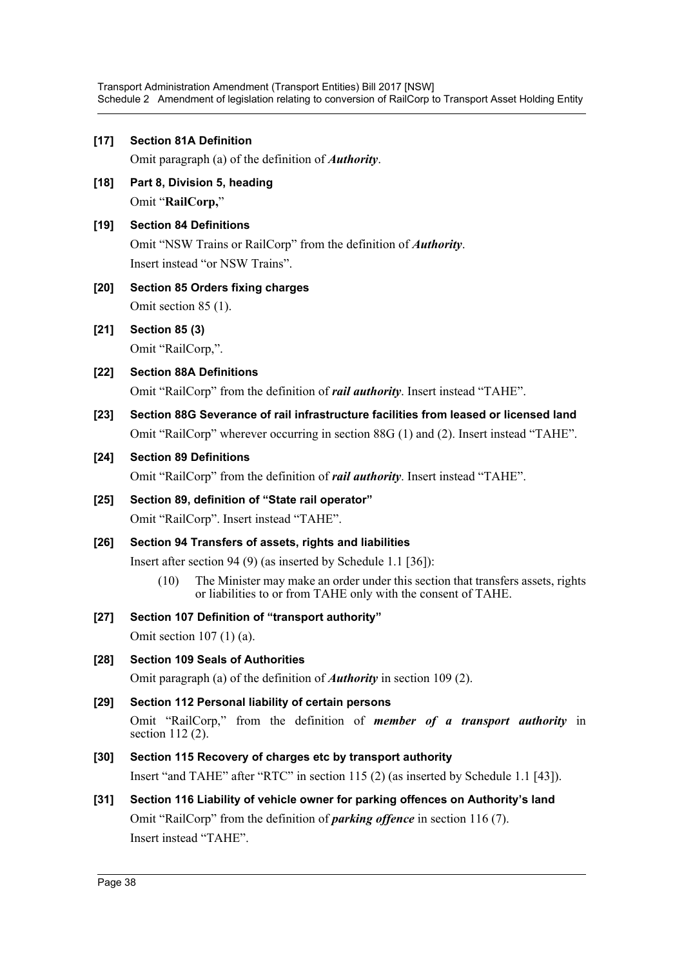## **[17] Section 81A Definition**

Omit paragraph (a) of the definition of *Authority*.

**[18] Part 8, Division 5, heading** Omit "**RailCorp,**"

### **[19] Section 84 Definitions**

Omit "NSW Trains or RailCorp" from the definition of *Authority*. Insert instead "or NSW Trains".

## **[20] Section 85 Orders fixing charges** Omit section 85 (1).

**[21] Section 85 (3)**

Omit "RailCorp,".

## **[22] Section 88A Definitions**

Omit "RailCorp" from the definition of *rail authority*. Insert instead "TAHE".

**[23] Section 88G Severance of rail infrastructure facilities from leased or licensed land** Omit "RailCorp" wherever occurring in section 88G (1) and (2). Insert instead "TAHE".

## **[24] Section 89 Definitions**

Omit "RailCorp" from the definition of *rail authority*. Insert instead "TAHE".

## **[25] Section 89, definition of "State rail operator"** Omit "RailCorp". Insert instead "TAHE".

## **[26] Section 94 Transfers of assets, rights and liabilities**

Insert after section 94 (9) (as inserted by Schedule 1.1 [36]):

(10) The Minister may make an order under this section that transfers assets, rights or liabilities to or from TAHE only with the consent of TAHE.

### **[27] Section 107 Definition of "transport authority"**

Omit section 107 (1) (a).

### **[28] Section 109 Seals of Authorities**

Omit paragraph (a) of the definition of *Authority* in section 109 (2).

## **[29] Section 112 Personal liability of certain persons**

Omit "RailCorp," from the definition of *member of a transport authority* in section 112 (2).

### **[30] Section 115 Recovery of charges etc by transport authority**

Insert "and TAHE" after "RTC" in section 115 (2) (as inserted by Schedule 1.1 [43]).

### **[31] Section 116 Liability of vehicle owner for parking offences on Authority's land**

Omit "RailCorp" from the definition of *parking offence* in section 116 (7). Insert instead "TAHE".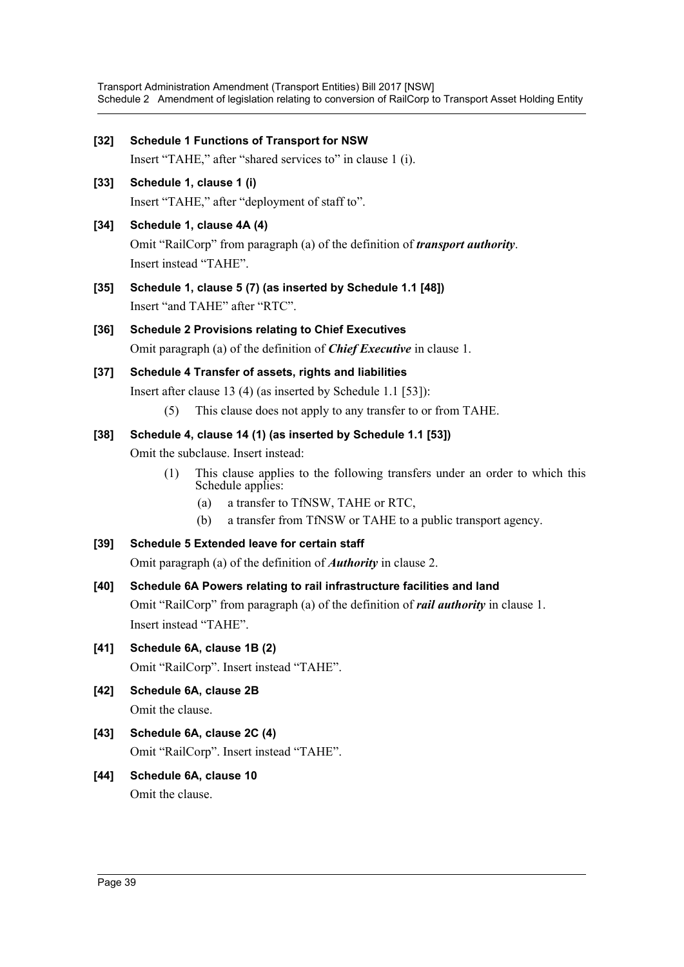| $[32]$ | <b>Schedule 1 Functions of Transport for NSW</b><br>Insert "TAHE," after "shared services to" in clause 1 (i).                                                                                                                                                                                                                   |  |  |  |
|--------|----------------------------------------------------------------------------------------------------------------------------------------------------------------------------------------------------------------------------------------------------------------------------------------------------------------------------------|--|--|--|
| $[33]$ | Schedule 1, clause 1 (i)<br>Insert "TAHE," after "deployment of staff to".                                                                                                                                                                                                                                                       |  |  |  |
| $[34]$ | Schedule 1, clause 4A (4)<br>Omit "RailCorp" from paragraph (a) of the definition of <i>transport authority</i> .<br>Insert instead "TAHE".                                                                                                                                                                                      |  |  |  |
| $[35]$ | Schedule 1, clause 5 (7) (as inserted by Schedule 1.1 [48])<br>Insert "and TAHE" after "RTC".                                                                                                                                                                                                                                    |  |  |  |
| $[36]$ | <b>Schedule 2 Provisions relating to Chief Executives</b><br>Omit paragraph (a) of the definition of <i>Chief Executive</i> in clause 1.                                                                                                                                                                                         |  |  |  |
| $[37]$ | Schedule 4 Transfer of assets, rights and liabilities<br>Insert after clause 13 (4) (as inserted by Schedule 1.1 [53]):<br>This clause does not apply to any transfer to or from TAHE.<br>(5)                                                                                                                                    |  |  |  |
| $[38]$ | Schedule 4, clause 14 (1) (as inserted by Schedule 1.1 [53])<br>Omit the subclause. Insert instead:<br>This clause applies to the following transfers under an order to which this<br>(1)<br>Schedule applies:<br>a transfer to TfNSW, TAHE or RTC,<br>(a)<br>a transfer from TfNSW or TAHE to a public transport agency.<br>(b) |  |  |  |
| $[39]$ | Schedule 5 Extended leave for certain staff<br>Omit paragraph (a) of the definition of <b><i>Authority</i></b> in clause 2.                                                                                                                                                                                                      |  |  |  |
| $[40]$ | Schedule 6A Powers relating to rail infrastructure facilities and land<br>Omit "RailCorp" from paragraph (a) of the definition of <i>rail authority</i> in clause 1.<br>Insert instead "TAHE".                                                                                                                                   |  |  |  |
| $[41]$ | Schedule 6A, clause 1B (2)<br>Omit "RailCorp". Insert instead "TAHE".                                                                                                                                                                                                                                                            |  |  |  |
| $[42]$ | Schedule 6A, clause 2B<br>Omit the clause.                                                                                                                                                                                                                                                                                       |  |  |  |
| $[43]$ | Schedule 6A, clause 2C (4)<br>Omit "RailCorp". Insert instead "TAHE".                                                                                                                                                                                                                                                            |  |  |  |
| $[44]$ | Schedule 6A, clause 10<br>Omit the clause.                                                                                                                                                                                                                                                                                       |  |  |  |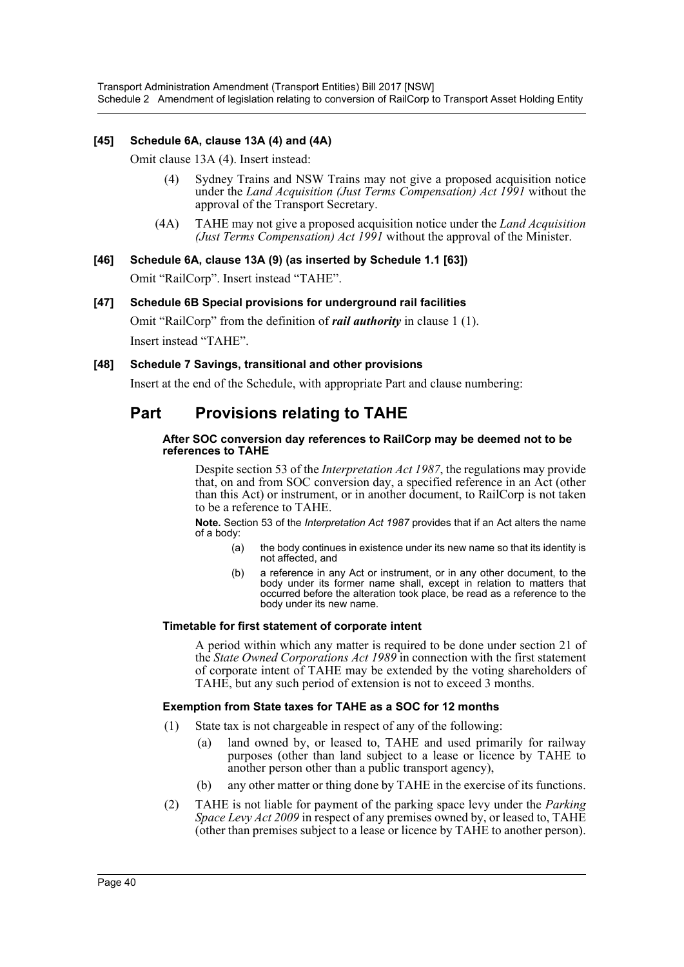### **[45] Schedule 6A, clause 13A (4) and (4A)**

Omit clause 13A (4). Insert instead:

- (4) Sydney Trains and NSW Trains may not give a proposed acquisition notice under the *Land Acquisition (Just Terms Compensation) Act 1991* without the approval of the Transport Secretary.
- (4A) TAHE may not give a proposed acquisition notice under the *Land Acquisition (Just Terms Compensation) Act 1991* without the approval of the Minister.

### **[46] Schedule 6A, clause 13A (9) (as inserted by Schedule 1.1 [63])**

Omit "RailCorp". Insert instead "TAHE".

### **[47] Schedule 6B Special provisions for underground rail facilities**

Omit "RailCorp" from the definition of *rail authority* in clause 1 (1). Insert instead "TAHE".

### **[48] Schedule 7 Savings, transitional and other provisions**

Insert at the end of the Schedule, with appropriate Part and clause numbering:

## **Part Provisions relating to TAHE**

#### **After SOC conversion day references to RailCorp may be deemed not to be references to TAHE**

Despite section 53 of the *Interpretation Act 1987*, the regulations may provide that, on and from SOC conversion day, a specified reference in an Act (other than this Act) or instrument, or in another document, to RailCorp is not taken to be a reference to TAHE.

**Note.** Section 53 of the *Interpretation Act 1987* provides that if an Act alters the name of a body:

- (a) the body continues in existence under its new name so that its identity is not affected, and
- (b) a reference in any Act or instrument, or in any other document, to the body under its former name shall, except in relation to matters that occurred before the alteration took place, be read as a reference to the body under its new name.

#### **Timetable for first statement of corporate intent**

A period within which any matter is required to be done under section 21 of the *State Owned Corporations Act 1989* in connection with the first statement of corporate intent of TAHE may be extended by the voting shareholders of TAHE, but any such period of extension is not to exceed 3 months.

#### **Exemption from State taxes for TAHE as a SOC for 12 months**

- (1) State tax is not chargeable in respect of any of the following:
	- (a) land owned by, or leased to, TAHE and used primarily for railway purposes (other than land subject to a lease or licence by TAHE to another person other than a public transport agency),
	- (b) any other matter or thing done by TAHE in the exercise of its functions.
- (2) TAHE is not liable for payment of the parking space levy under the *Parking Space Levy Act 2009* in respect of any premises owned by, or leased to, TAHE (other than premises subject to a lease or licence by TAHE to another person).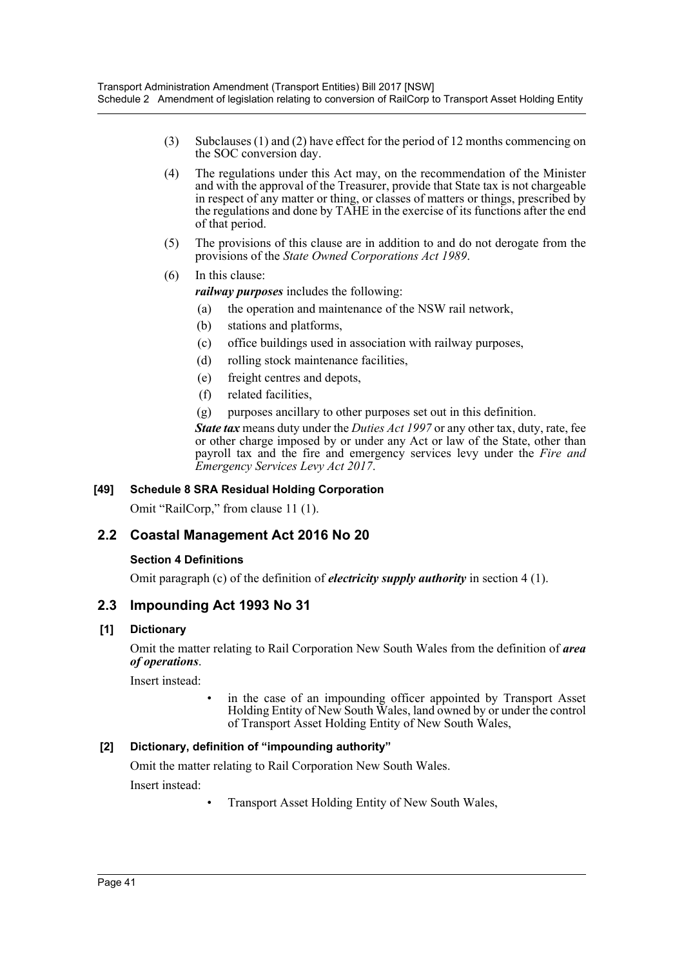- (3) Subclauses (1) and (2) have effect for the period of 12 months commencing on the SOC conversion day.
- (4) The regulations under this Act may, on the recommendation of the Minister and with the approval of the Treasurer, provide that State tax is not chargeable in respect of any matter or thing, or classes of matters or things, prescribed by the regulations and done by TAHE in the exercise of its functions after the end of that period.
- (5) The provisions of this clause are in addition to and do not derogate from the provisions of the *State Owned Corporations Act 1989*.
- (6) In this clause:

*railway purposes* includes the following:

- (a) the operation and maintenance of the NSW rail network,
- (b) stations and platforms,
- (c) office buildings used in association with railway purposes,
- (d) rolling stock maintenance facilities,
- (e) freight centres and depots,
- (f) related facilities,
- (g) purposes ancillary to other purposes set out in this definition.

*State tax* means duty under the *Duties Act 1997* or any other tax, duty, rate, fee or other charge imposed by or under any Act or law of the State, other than payroll tax and the fire and emergency services levy under the *Fire and Emergency Services Levy Act 2017*.

### **[49] Schedule 8 SRA Residual Holding Corporation**

Omit "RailCorp," from clause 11 (1).

## **2.2 Coastal Management Act 2016 No 20**

### **Section 4 Definitions**

Omit paragraph (c) of the definition of *electricity supply authority* in section 4 (1).

## **2.3 Impounding Act 1993 No 31**

### **[1] Dictionary**

Omit the matter relating to Rail Corporation New South Wales from the definition of *area of operations*.

Insert instead:

in the case of an impounding officer appointed by Transport Asset Holding Entity of New South Wales, land owned by or under the control of Transport Asset Holding Entity of New South Wales,

## **[2] Dictionary, definition of "impounding authority"**

Omit the matter relating to Rail Corporation New South Wales.

Insert instead:

• Transport Asset Holding Entity of New South Wales,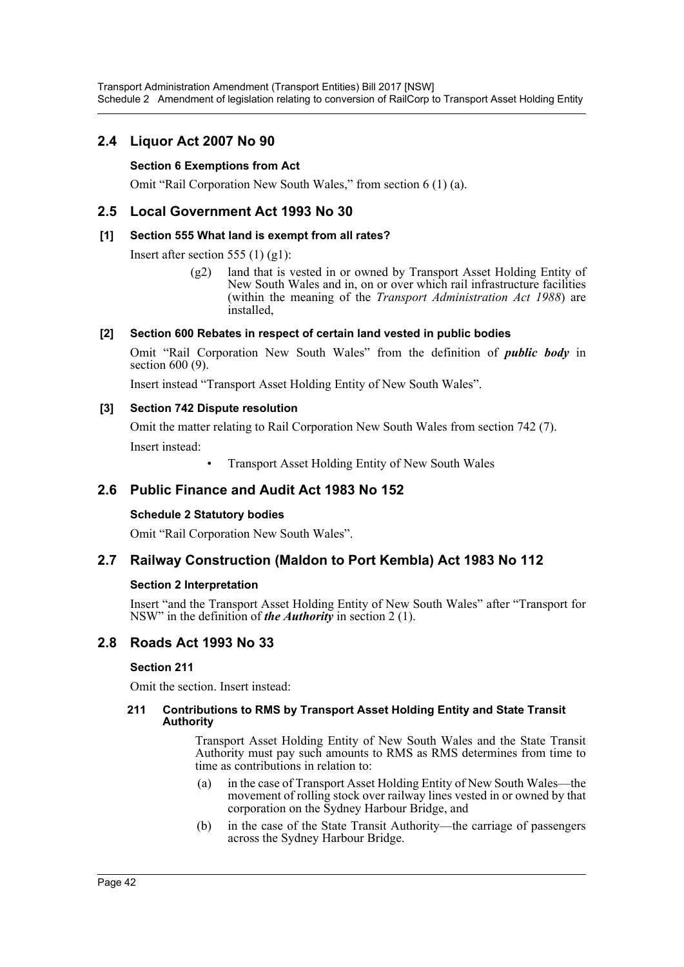## **2.4 Liquor Act 2007 No 90**

## **Section 6 Exemptions from Act**

Omit "Rail Corporation New South Wales," from section 6 (1) (a).

## **2.5 Local Government Act 1993 No 30**

### **[1] Section 555 What land is exempt from all rates?**

Insert after section 555 (1)  $(g1)$ :

(g2) land that is vested in or owned by Transport Asset Holding Entity of New South Wales and in, on or over which rail infrastructure facilities (within the meaning of the *Transport Administration Act 1988*) are installed,

## **[2] Section 600 Rebates in respect of certain land vested in public bodies**

Omit "Rail Corporation New South Wales" from the definition of *public body* in section 600 (9).

Insert instead "Transport Asset Holding Entity of New South Wales".

### **[3] Section 742 Dispute resolution**

Omit the matter relating to Rail Corporation New South Wales from section 742 (7). Insert instead:

• Transport Asset Holding Entity of New South Wales

## **2.6 Public Finance and Audit Act 1983 No 152**

### **Schedule 2 Statutory bodies**

Omit "Rail Corporation New South Wales".

## **2.7 Railway Construction (Maldon to Port Kembla) Act 1983 No 112**

### **Section 2 Interpretation**

Insert "and the Transport Asset Holding Entity of New South Wales" after "Transport for NSW" in the definition of *the Authority* in section 2 (1).

## **2.8 Roads Act 1993 No 33**

### **Section 211**

Omit the section. Insert instead:

### **211 Contributions to RMS by Transport Asset Holding Entity and State Transit Authority**

Transport Asset Holding Entity of New South Wales and the State Transit Authority must pay such amounts to RMS as RMS determines from time to time as contributions in relation to:

- (a) in the case of Transport Asset Holding Entity of New South Wales—the movement of rolling stock over railway lines vested in or owned by that corporation on the Sydney Harbour Bridge, and
- (b) in the case of the State Transit Authority—the carriage of passengers across the Sydney Harbour Bridge.